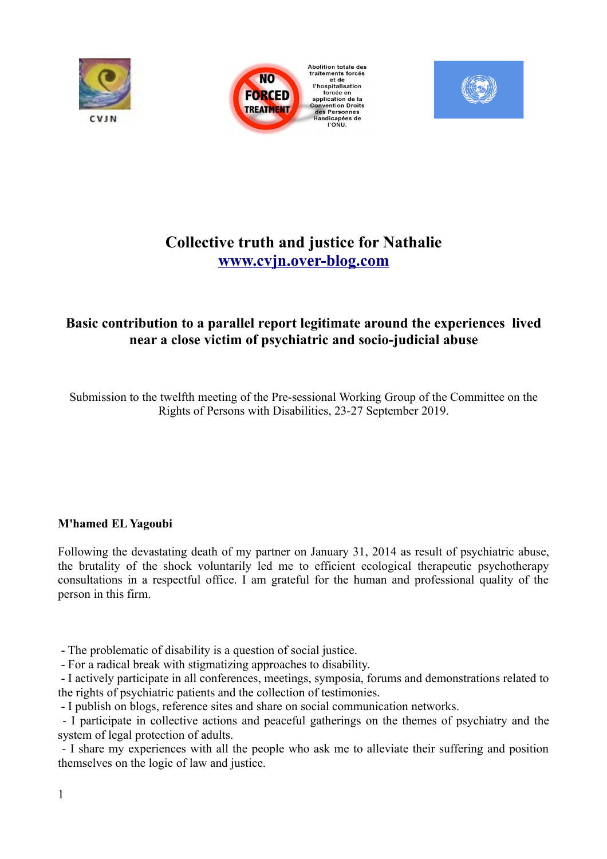





# **Collective truth and justice for Nathalie [www.cvjn.over-blog.com](http://www.cvjn.over-blog.com/)**

# **Basic contribution to a parallel report legitimate around the experiences lived near a close victim of psychiatric and socio-judicial abuse**

Submission to the twelfth meeting of the Pre-sessional Working Group of the Committee on the Rights of Persons with Disabilities, 23-27 September 2019.

## **M'hamed EL Yagoubi**

Following the devastating death of my partner on January 31, 2014 as result of psychiatric abuse, the brutality of the shock voluntarily led me to efficient ecological therapeutic psychotherapy consultations in a respectful office. I am grateful for the human and professional quality of the person in this firm.

- The problematic of disability is a question of social justice.

- For a radical break with stigmatizing approaches to disability.

 - I actively participate in all conferences, meetings, symposia, forums and demonstrations related to the rights of psychiatric patients and the collection of testimonies.

- I publish on blogs, reference sites and share on social communication networks.

 - I participate in collective actions and peaceful gatherings on the themes of psychiatry and the system of legal protection of adults.

 - I share my experiences with all the people who ask me to alleviate their suffering and position themselves on the logic of law and justice.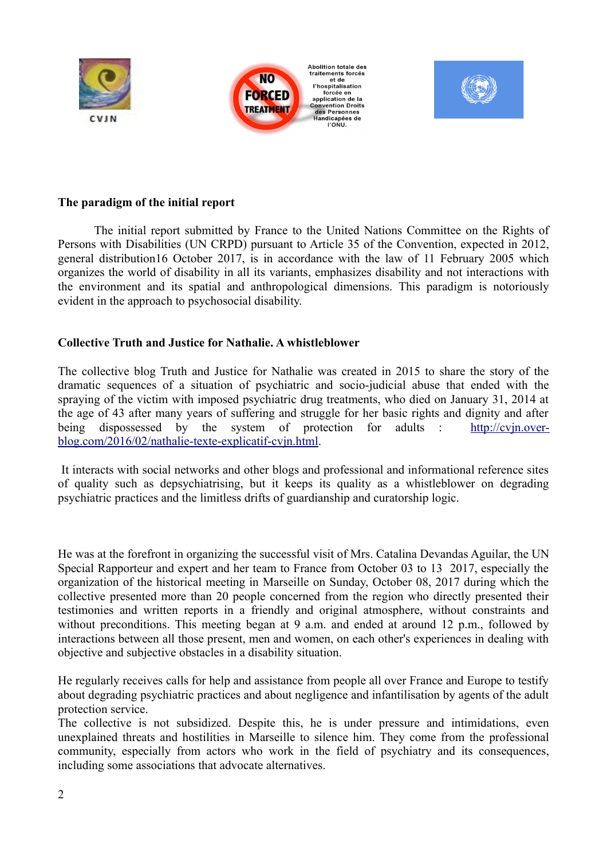



#### **The paradigm of the initial report**

The initial report submitted by France to the United Nations Committee on the Rights of Persons with Disabilities (UN CRPD) pursuant to Article 35 of the Convention, expected in 2012, general distribution16 October 2017, is in accordance with the law of 11 February 2005 which organizes the world of disability in all its variants, emphasizes disability and not interactions with the environment and its spatial and anthropological dimensions. This paradigm is notoriously evident in the approach to psychosocial disability.

#### **Collective Truth and Justice for Nathalie. A whistleblower**

The collective blog Truth and Justice for Nathalie was created in 2015 to share the story of the dramatic sequences of a situation of psychiatric and socio-judicial abuse that ended with the spraying of the victim with imposed psychiatric drug treatments, who died on January 31, 2014 at the age of 43 after many years of suffering and struggle for her basic rights and dignity and after being dispossessed by the system of protection for adults : [http://cvjn.over](http://cvjn.over-blog.com/2016/02/nathalie-texte-explicatif-cvjn.html)[blog.com/2016/02/nathalie-texte-explicatif-cvjn.html.](http://cvjn.over-blog.com/2016/02/nathalie-texte-explicatif-cvjn.html)

 It interacts with social networks and other blogs and professional and informational reference sites of quality such as depsychiatrising, but it keeps its quality as a whistleblower on degrading psychiatric practices and the limitless drifts of guardianship and curatorship logic.

He was at the forefront in organizing the successful visit of Mrs. Catalina Devandas Aguilar, the UN Special Rapporteur and expert and her team to France from October 03 to 13 2017, especially the organization of the historical meeting in Marseille on Sunday, October 08, 2017 during which the collective presented more than 20 people concerned from the region who directly presented their testimonies and written reports in a friendly and original atmosphere, without constraints and without preconditions. This meeting began at 9 a.m. and ended at around 12 p.m., followed by interactions between all those present, men and women, on each other's experiences in dealing with objective and subjective obstacles in a disability situation.

He regularly receives calls for help and assistance from people all over France and Europe to testify about degrading psychiatric practices and about negligence and infantilisation by agents of the adult protection service.

The collective is not subsidized. Despite this, he is under pressure and intimidations, even unexplained threats and hostilities in Marseille to silence him. They come from the professional community, especially from actors who work in the field of psychiatry and its consequences, including some associations that advocate alternatives.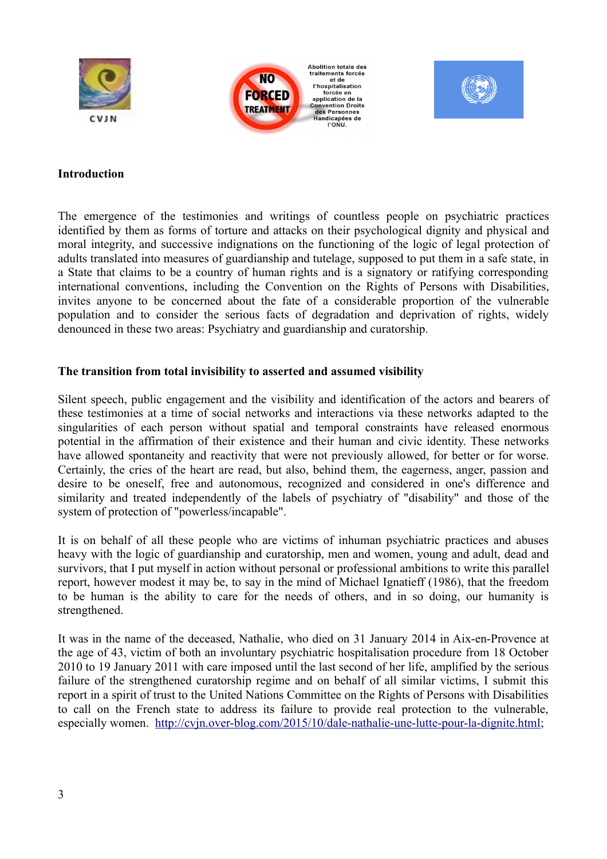





#### **Introduction**

The emergence of the testimonies and writings of countless people on psychiatric practices identified by them as forms of torture and attacks on their psychological dignity and physical and moral integrity, and successive indignations on the functioning of the logic of legal protection of adults translated into measures of guardianship and tutelage, supposed to put them in a safe state, in a State that claims to be a country of human rights and is a signatory or ratifying corresponding international conventions, including the Convention on the Rights of Persons with Disabilities, invites anyone to be concerned about the fate of a considerable proportion of the vulnerable population and to consider the serious facts of degradation and deprivation of rights, widely denounced in these two areas: Psychiatry and guardianship and curatorship.

#### **The transition from total invisibility to asserted and assumed visibility**

Silent speech, public engagement and the visibility and identification of the actors and bearers of these testimonies at a time of social networks and interactions via these networks adapted to the singularities of each person without spatial and temporal constraints have released enormous potential in the affirmation of their existence and their human and civic identity. These networks have allowed spontaneity and reactivity that were not previously allowed, for better or for worse. Certainly, the cries of the heart are read, but also, behind them, the eagerness, anger, passion and desire to be oneself, free and autonomous, recognized and considered in one's difference and similarity and treated independently of the labels of psychiatry of "disability" and those of the system of protection of "powerless/incapable".

It is on behalf of all these people who are victims of inhuman psychiatric practices and abuses heavy with the logic of guardianship and curatorship, men and women, young and adult, dead and survivors, that I put myself in action without personal or professional ambitions to write this parallel report, however modest it may be, to say in the mind of Michael Ignatieff (1986), that the freedom to be human is the ability to care for the needs of others, and in so doing, our humanity is strengthened.

It was in the name of the deceased, Nathalie, who died on 31 January 2014 in Aix-en-Provence at the age of 43, victim of both an involuntary psychiatric hospitalisation procedure from 18 October 2010 to 19 January 2011 with care imposed until the last second of her life, amplified by the serious failure of the strengthened curatorship regime and on behalf of all similar victims, I submit this report in a spirit of trust to the United Nations Committee on the Rights of Persons with Disabilities to call on the French state to address its failure to provide real protection to the vulnerable, especially women. [http://cvjn.over-blog.com/2015/10/dale-nathalie-une-lutte-pour-la-dignite.html;](http://cvjn.over-blog.com/2015/10/dale-nathalie-une-lutte-pour-la-dignite.html)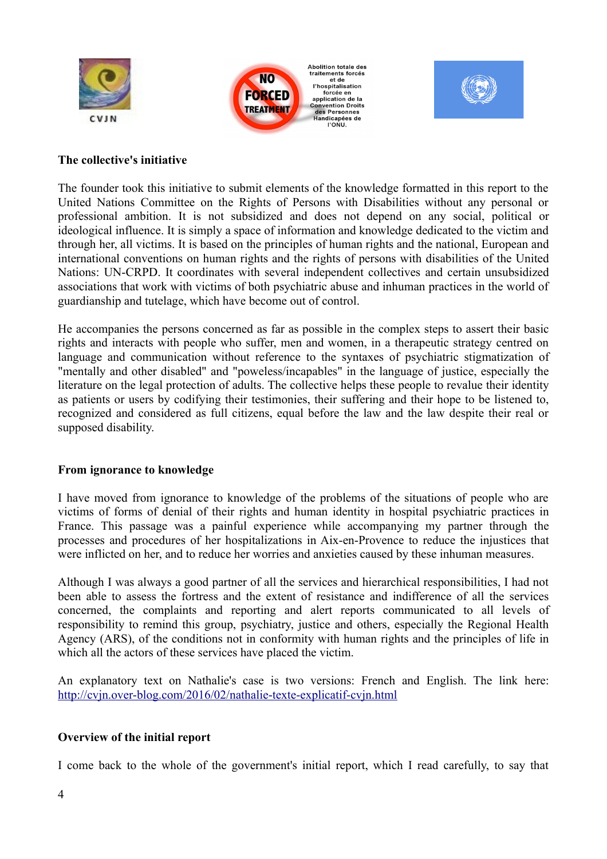





#### **The collective's initiative**

The founder took this initiative to submit elements of the knowledge formatted in this report to the United Nations Committee on the Rights of Persons with Disabilities without any personal or professional ambition. It is not subsidized and does not depend on any social, political or ideological influence. It is simply a space of information and knowledge dedicated to the victim and through her, all victims. It is based on the principles of human rights and the national, European and international conventions on human rights and the rights of persons with disabilities of the United Nations: UN-CRPD. It coordinates with several independent collectives and certain unsubsidized associations that work with victims of both psychiatric abuse and inhuman practices in the world of guardianship and tutelage, which have become out of control.

He accompanies the persons concerned as far as possible in the complex steps to assert their basic rights and interacts with people who suffer, men and women, in a therapeutic strategy centred on language and communication without reference to the syntaxes of psychiatric stigmatization of "mentally and other disabled" and "poweless/incapables" in the language of justice, especially the literature on the legal protection of adults. The collective helps these people to revalue their identity as patients or users by codifying their testimonies, their suffering and their hope to be listened to, recognized and considered as full citizens, equal before the law and the law despite their real or supposed disability.

## **From ignorance to knowledge**

I have moved from ignorance to knowledge of the problems of the situations of people who are victims of forms of denial of their rights and human identity in hospital psychiatric practices in France. This passage was a painful experience while accompanying my partner through the processes and procedures of her hospitalizations in Aix-en-Provence to reduce the injustices that were inflicted on her, and to reduce her worries and anxieties caused by these inhuman measures.

Although I was always a good partner of all the services and hierarchical responsibilities, I had not been able to assess the fortress and the extent of resistance and indifference of all the services concerned, the complaints and reporting and alert reports communicated to all levels of responsibility to remind this group, psychiatry, justice and others, especially the Regional Health Agency (ARS), of the conditions not in conformity with human rights and the principles of life in which all the actors of these services have placed the victim.

An explanatory text on Nathalie's case is two versions: French and English. The link here: <http://cvjn.over-blog.com/2016/02/nathalie-texte-explicatif-cvjn.html>

## **Overview of the initial report**

I come back to the whole of the government's initial report, which I read carefully, to say that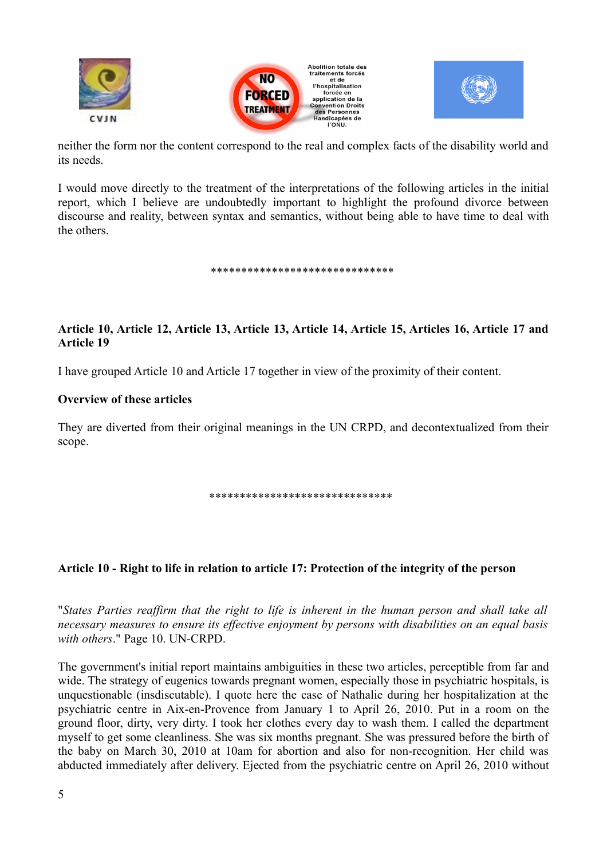





neither the form nor the content correspond to the real and complex facts of the disability world and its needs.

I would move directly to the treatment of the interpretations of the following articles in the initial report, which I believe are undoubtedly important to highlight the profound divorce between discourse and reality, between syntax and semantics, without being able to have time to deal with the others.

\*\*\*\*\*\*\*\*\*\*\*\*\*\*\*\*\*\*\*\*\*\*\*\*\*\*\*\*\*\*

## **Article 10, Article 12, Article 13, Article 13, Article 14, Article 15, Articles 16, Article 17 and Article 19**

I have grouped Article 10 and Article 17 together in view of the proximity of their content.

#### **Overview of these articles**

They are diverted from their original meanings in the UN CRPD, and decontextualized from their scope.

\*\*\*\*\*\*\*\*\*\*\*\*\*\*\*\*\*\*\*\*\*\*\*\*\*\*\*\*\*\*

#### **Article 10 - Right to life in relation to article 17: Protection of the integrity of the person**

"*States Parties reaffirm that the right to life is inherent in the human person and shall take all necessary measures to ensure its effective enjoyment by persons with disabilities on an equal basis with others*." Page 10. UN-CRPD.

The government's initial report maintains ambiguities in these two articles, perceptible from far and wide. The strategy of eugenics towards pregnant women, especially those in psychiatric hospitals, is unquestionable (insdiscutable). I quote here the case of Nathalie during her hospitalization at the psychiatric centre in Aix-en-Provence from January 1 to April 26, 2010. Put in a room on the ground floor, dirty, very dirty. I took her clothes every day to wash them. I called the department myself to get some cleanliness. She was six months pregnant. She was pressured before the birth of the baby on March 30, 2010 at 10am for abortion and also for non-recognition. Her child was abducted immediately after delivery. Ejected from the psychiatric centre on April 26, 2010 without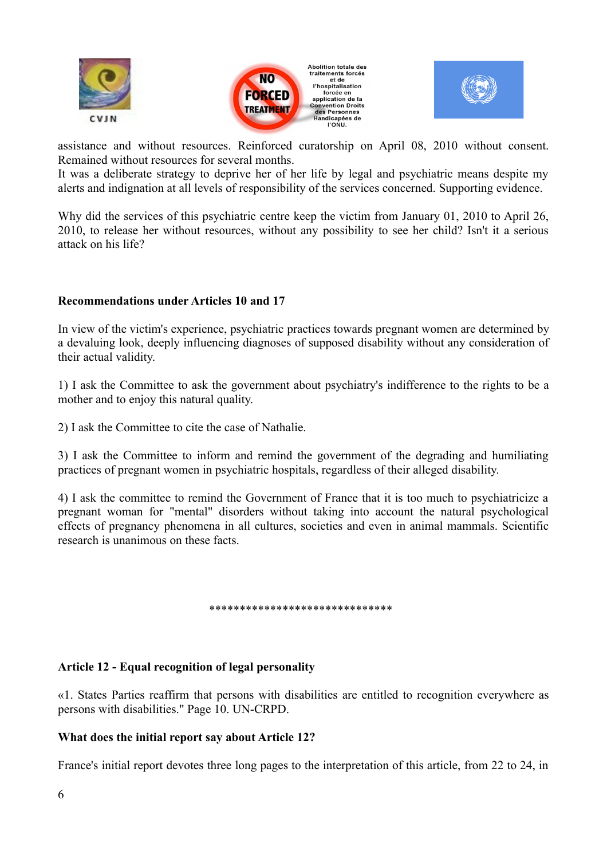





assistance and without resources. Reinforced curatorship on April 08, 2010 without consent. Remained without resources for several months.

It was a deliberate strategy to deprive her of her life by legal and psychiatric means despite my alerts and indignation at all levels of responsibility of the services concerned. Supporting evidence.

Why did the services of this psychiatric centre keep the victim from January 01, 2010 to April 26, 2010, to release her without resources, without any possibility to see her child? Isn't it a serious attack on his life?

## **Recommendations under Articles 10 and 17**

In view of the victim's experience, psychiatric practices towards pregnant women are determined by a devaluing look, deeply influencing diagnoses of supposed disability without any consideration of their actual validity.

1) I ask the Committee to ask the government about psychiatry's indifference to the rights to be a mother and to enjoy this natural quality.

2) I ask the Committee to cite the case of Nathalie.

3) I ask the Committee to inform and remind the government of the degrading and humiliating practices of pregnant women in psychiatric hospitals, regardless of their alleged disability.

4) I ask the committee to remind the Government of France that it is too much to psychiatricize a pregnant woman for "mental" disorders without taking into account the natural psychological effects of pregnancy phenomena in all cultures, societies and even in animal mammals. Scientific research is unanimous on these facts.

\*\*\*\*\*\*\*\*\*\*\*\*\*\*\*\*\*\*\*\*\*\*\*\*\*\*\*\*\*\*

#### **Article 12 - Equal recognition of legal personality**

«1. States Parties reaffirm that persons with disabilities are entitled to recognition everywhere as persons with disabilities." Page 10. UN-CRPD.

## **What does the initial report say about Article 12?**

France's initial report devotes three long pages to the interpretation of this article, from 22 to 24, in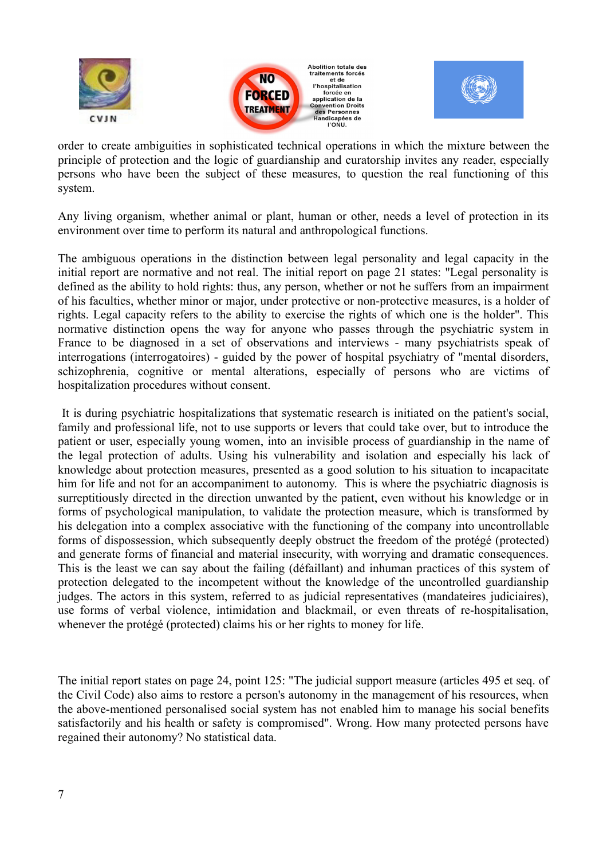





order to create ambiguities in sophisticated technical operations in which the mixture between the principle of protection and the logic of guardianship and curatorship invites any reader, especially persons who have been the subject of these measures, to question the real functioning of this system.

Any living organism, whether animal or plant, human or other, needs a level of protection in its environment over time to perform its natural and anthropological functions.

The ambiguous operations in the distinction between legal personality and legal capacity in the initial report are normative and not real. The initial report on page 21 states: "Legal personality is defined as the ability to hold rights: thus, any person, whether or not he suffers from an impairment of his faculties, whether minor or major, under protective or non-protective measures, is a holder of rights. Legal capacity refers to the ability to exercise the rights of which one is the holder". This normative distinction opens the way for anyone who passes through the psychiatric system in France to be diagnosed in a set of observations and interviews - many psychiatrists speak of interrogations (interrogatoires) - guided by the power of hospital psychiatry of "mental disorders, schizophrenia, cognitive or mental alterations, especially of persons who are victims of hospitalization procedures without consent.

 It is during psychiatric hospitalizations that systematic research is initiated on the patient's social, family and professional life, not to use supports or levers that could take over, but to introduce the patient or user, especially young women, into an invisible process of guardianship in the name of the legal protection of adults. Using his vulnerability and isolation and especially his lack of knowledge about protection measures, presented as a good solution to his situation to incapacitate him for life and not for an accompaniment to autonomy. This is where the psychiatric diagnosis is surreptitiously directed in the direction unwanted by the patient, even without his knowledge or in forms of psychological manipulation, to validate the protection measure, which is transformed by his delegation into a complex associative with the functioning of the company into uncontrollable forms of dispossession, which subsequently deeply obstruct the freedom of the protégé (protected) and generate forms of financial and material insecurity, with worrying and dramatic consequences. This is the least we can say about the failing (défaillant) and inhuman practices of this system of protection delegated to the incompetent without the knowledge of the uncontrolled guardianship judges. The actors in this system, referred to as judicial representatives (mandateires judiciaires), use forms of verbal violence, intimidation and blackmail, or even threats of re-hospitalisation, whenever the protégé (protected) claims his or her rights to money for life.

The initial report states on page 24, point 125: "The judicial support measure (articles 495 et seq. of the Civil Code) also aims to restore a person's autonomy in the management of his resources, when the above-mentioned personalised social system has not enabled him to manage his social benefits satisfactorily and his health or safety is compromised". Wrong. How many protected persons have regained their autonomy? No statistical data.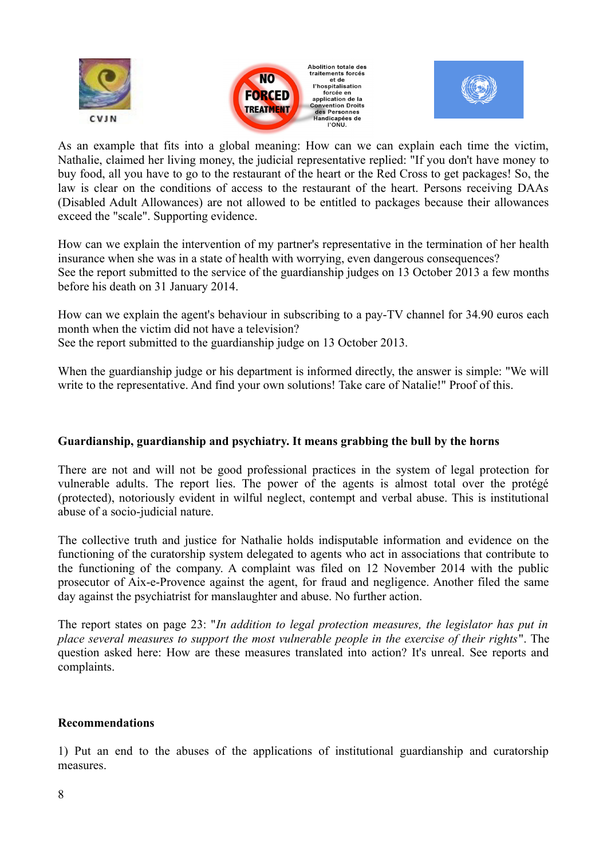





As an example that fits into a global meaning: How can we can explain each time the victim, Nathalie, claimed her living money, the judicial representative replied: "If you don't have money to buy food, all you have to go to the restaurant of the heart or the Red Cross to get packages! So, the law is clear on the conditions of access to the restaurant of the heart. Persons receiving DAAs (Disabled Adult Allowances) are not allowed to be entitled to packages because their allowances exceed the "scale". Supporting evidence.

How can we explain the intervention of my partner's representative in the termination of her health insurance when she was in a state of health with worrying, even dangerous consequences? See the report submitted to the service of the guardianship judges on 13 October 2013 a few months before his death on 31 January 2014.

How can we explain the agent's behaviour in subscribing to a pay-TV channel for 34.90 euros each month when the victim did not have a television?

See the report submitted to the guardianship judge on 13 October 2013.

When the guardianship judge or his department is informed directly, the answer is simple: "We will write to the representative. And find your own solutions! Take care of Natalie!" Proof of this.

## **Guardianship, guardianship and psychiatry. It means grabbing the bull by the horns**

There are not and will not be good professional practices in the system of legal protection for vulnerable adults. The report lies. The power of the agents is almost total over the protégé (protected), notoriously evident in wilful neglect, contempt and verbal abuse. This is institutional abuse of a socio-judicial nature.

The collective truth and justice for Nathalie holds indisputable information and evidence on the functioning of the curatorship system delegated to agents who act in associations that contribute to the functioning of the company. A complaint was filed on 12 November 2014 with the public prosecutor of Aix-e-Provence against the agent, for fraud and negligence. Another filed the same day against the psychiatrist for manslaughter and abuse. No further action.

The report states on page 23: "*In addition to legal protection measures, the legislator has put in place several measures to support the most vulnerable people in the exercise of their rights*". The question asked here: How are these measures translated into action? It's unreal. See reports and complaints.

#### **Recommendations**

1) Put an end to the abuses of the applications of institutional guardianship and curatorship measures.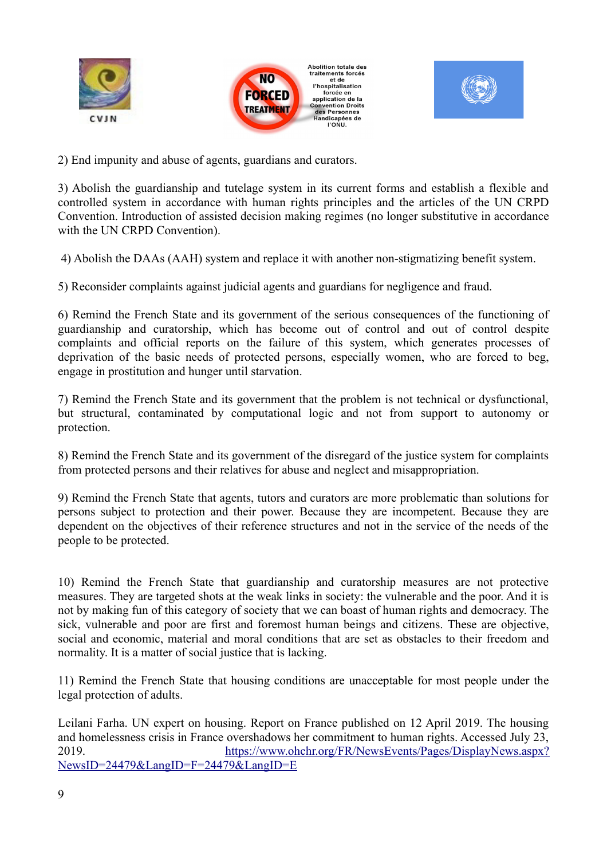





2) End impunity and abuse of agents, guardians and curators.

3) Abolish the guardianship and tutelage system in its current forms and establish a flexible and controlled system in accordance with human rights principles and the articles of the UN CRPD Convention. Introduction of assisted decision making regimes (no longer substitutive in accordance with the UN CRPD Convention).

4) Abolish the DAAs (AAH) system and replace it with another non-stigmatizing benefit system.

5) Reconsider complaints against judicial agents and guardians for negligence and fraud.

6) Remind the French State and its government of the serious consequences of the functioning of guardianship and curatorship, which has become out of control and out of control despite complaints and official reports on the failure of this system, which generates processes of deprivation of the basic needs of protected persons, especially women, who are forced to beg, engage in prostitution and hunger until starvation.

7) Remind the French State and its government that the problem is not technical or dysfunctional, but structural, contaminated by computational logic and not from support to autonomy or protection.

8) Remind the French State and its government of the disregard of the justice system for complaints from protected persons and their relatives for abuse and neglect and misappropriation.

9) Remind the French State that agents, tutors and curators are more problematic than solutions for persons subject to protection and their power. Because they are incompetent. Because they are dependent on the objectives of their reference structures and not in the service of the needs of the people to be protected.

10) Remind the French State that guardianship and curatorship measures are not protective measures. They are targeted shots at the weak links in society: the vulnerable and the poor. And it is not by making fun of this category of society that we can boast of human rights and democracy. The sick, vulnerable and poor are first and foremost human beings and citizens. These are objective, social and economic, material and moral conditions that are set as obstacles to their freedom and normality. It is a matter of social justice that is lacking.

11) Remind the French State that housing conditions are unacceptable for most people under the legal protection of adults.

Leilani Farha. UN expert on housing. Report on France published on 12 April 2019. The housing and homelessness crisis in France overshadows her commitment to human rights. Accessed July 23, 2019. [https://www.ohchr.org/FR/NewsEvents/Pages/DisplayNews.aspx?](https://www.ohchr.org/FR/NewsEvents/Pages/DisplayNews.aspx?NewsID=24479&LangID=F=24479&LangID=E) [NewsID=24479&LangID=F=24479&LangID=E](https://www.ohchr.org/FR/NewsEvents/Pages/DisplayNews.aspx?NewsID=24479&LangID=F=24479&LangID=E)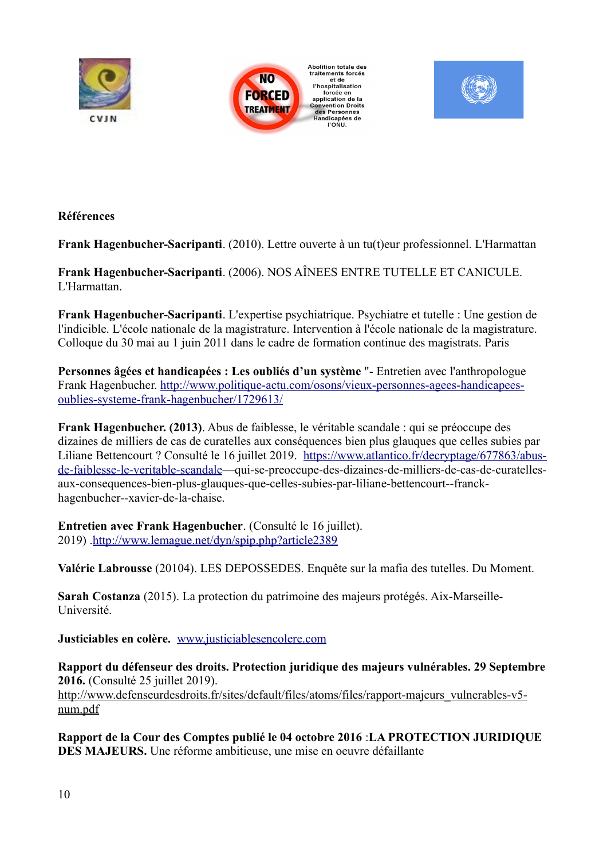





## **Références**

**Frank Hagenbucher-Sacripanti**. (2010). Lettre ouverte à un tu(t)eur professionnel. L'Harmattan

**Frank Hagenbucher-Sacripanti**. (2006). NOS AÎNEES ENTRE TUTELLE ET CANICULE. L'Harmattan.

**Frank Hagenbucher-Sacripanti**. L'expertise psychiatrique. Psychiatre et tutelle : Une gestion de l'indicible. L'école nationale de la magistrature. Intervention à l'école nationale de la magistrature. Colloque du 30 mai au 1 juin 2011 dans le cadre de formation continue des magistrats. Paris

**Personnes âgées et handicapées : Les oubliés d'un système** "- Entretien avec l'anthropologue Frank Hagenbucher. [http://www.politique-actu.com/osons/vieux-personnes-agees-handicapees](http://www.politique-actu.com/osons/vieux-personnes-agees-handicapees-oublies-systeme-frank-hagenbucher/1729613/)  [oublies- systeme-frank-hagenbucher/1729613/](http://www.politique-actu.com/osons/vieux-personnes-agees-handicapees-oublies-systeme-frank-hagenbucher/1729613/)

**Frank Hagenbucher. (2013)**. Abus de faiblesse, le véritable scandale : qui se préoccupe des dizaines de milliers de cas de curatelles aux conséquences bien plus glauques que celles subies par Liliane Bettencourt ? Consulté le 16 juillet 2019. [https://www.atlantico.fr/decryptage/677863/abus](https://www.atlantico.fr/decryptage/677863/abus-de-faiblesse-le-veritable-scandale)[de- faiblesse-le-veritable-scandale—](https://www.atlantico.fr/decryptage/677863/abus-de-faiblesse-le-veritable-scandale)qui-se-preoccupe-des-dizaines-de-milliers-de-cas-de-curatellesaux-consequences-bien-plus-glauques-que-celles-subies-par-liliane-bettencourt--franckhagenbucher--xavier-de-la-chaise.

**Entretien avec Frank Hagenbucher**. (Consulté le 16 juillet). 2019) [.http://www.lemague.net/dyn/spip.php?article2389](http://www.lemague.net/dyn/spip.php?article2389)

**Valérie Labrousse** (20104). LES DEPOSSEDES. Enquête sur la mafia des tutelles. Du Moment.

**Sarah Costanza** (2015). La protection du patrimoine des majeurs protégés. Aix-Marseille-Université.

**Justiciables en colère.** [www.justiciablesencolere.com](http://www.justiciablesencolere.com/)

**Rapport du défenseur des droits. Protection juridique des majeurs vulnérables. 29 Septembre 2016.** (Consulté 25 juillet 2019). [http://www.defenseurdesdroits.fr/sites/default/files/atoms/files/rapport-majeurs\\_vulnerables-v5](http://www.defenseurdesdroits.fr/sites/default/files/atoms/files/rapport-majeurs_vulnerables-v5-num.pdf) [num.pdf](http://www.defenseurdesdroits.fr/sites/default/files/atoms/files/rapport-majeurs_vulnerables-v5-num.pdf)

**Rapport de la Cour des Comptes publié le 04 octobre 2016** :**LA PROTECTION JURIDIQUE DES MAJEURS.** Une réforme ambitieuse, une mise en oeuvre défaillante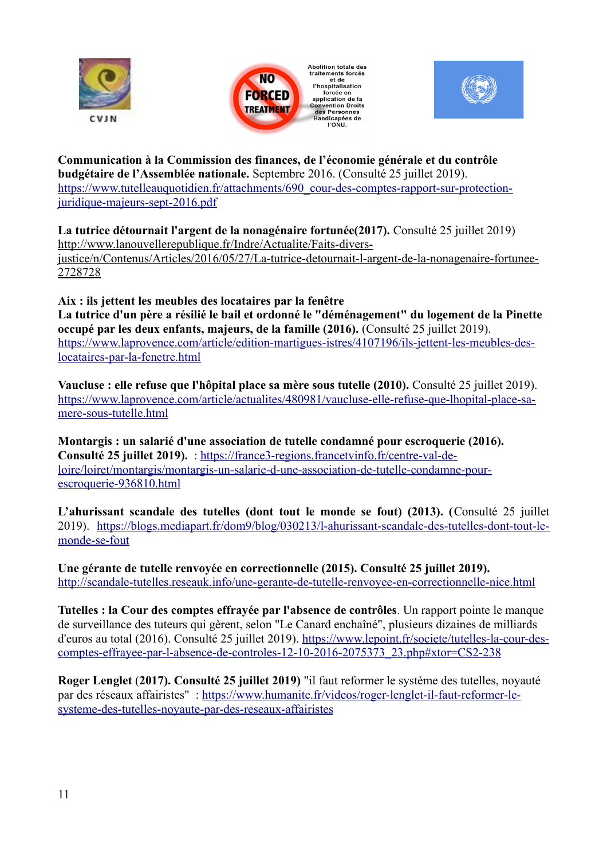





**Communication à la Commission des finances, de l'économie générale et du contrôle budgétaire de l'Assemblée nationale.** Septembre 2016. (Consulté 25 juillet 2019). [https://www.tutelleauquotidien.fr/attachments/690\\_cour-des-comptes-rapport-sur-protection](https://www.tutelleauquotidien.fr/attachments/690_cour-des-comptes-rapport-sur-protection-juridique-majeurs-sept-2016.pdf)[juridique-majeurs-sept-2016.pdf](https://www.tutelleauquotidien.fr/attachments/690_cour-des-comptes-rapport-sur-protection-juridique-majeurs-sept-2016.pdf)

**La tutrice détournait l'argent de la nonagénaire fortunée(2017).** Consulté 25 juillet 2019) [http://www.lanouvellerepublique.fr/Indre/Actualite/Faits-divers](http://www.lanouvellerepublique.fr/Indre/Actualite/Faits-divers-justice/n/Contenus/Articles/2016/05/27/La-tutrice-detournait-l-argent-de-la-nonagenaire-fortunee-2728728)[justice/n/Contenus/Articles/2016/05/27/La-tutrice-detournait-l-argent-de-la-nonagenaire-fortunee-](http://www.lanouvellerepublique.fr/Indre/Actualite/Faits-divers-justice/n/Contenus/Articles/2016/05/27/La-tutrice-detournait-l-argent-de-la-nonagenaire-fortunee-2728728)[2728728](http://www.lanouvellerepublique.fr/Indre/Actualite/Faits-divers-justice/n/Contenus/Articles/2016/05/27/La-tutrice-detournait-l-argent-de-la-nonagenaire-fortunee-2728728)

**Aix : ils jettent les meubles des locataires par la fenêtre La tutrice d'un père a résilié le bail et ordonné le "déménagement" du logement de la Pinette occupé par les deux enfants, majeurs, de la famille (2016).** (Consulté 25 juillet 2019). [https://www.laprovence.com/article/edition-martigues-istres/4107196/ils-jettent-les-meubles-des](https://www.laprovence.com/article/edition-martigues-istres/4107196/ils-jettent-les-meubles-des-locataires-par-la-fenetre.html)[locataires-par-la-fenetre.html](https://www.laprovence.com/article/edition-martigues-istres/4107196/ils-jettent-les-meubles-des-locataires-par-la-fenetre.html)

**Vaucluse : elle refuse que l'hôpital place sa mère sous tutelle (2010).** Consulté 25 juillet 2019). [https://www.laprovence.com/article/actualites/480981/vaucluse-elle-refuse-que-lhopital-place-sa](https://www.laprovence.com/article/actualites/480981/vaucluse-elle-refuse-que-lhopital-place-sa-mere-sous-tutelle.html)[mere-sous-tutelle.html](https://www.laprovence.com/article/actualites/480981/vaucluse-elle-refuse-que-lhopital-place-sa-mere-sous-tutelle.html)

**Montargis : un salarié d'une association de tutelle condamné pour escroquerie (2016). Consulté 25 juillet 2019).** : [https://france3-regions.francetvinfo.fr/centre-val-de](https://france3-regions.francetvinfo.fr/centre-val-de-loire/loiret/montargis/montargis-un-salarie-d-une-association-de-tutelle-condamne-pour-escroquerie-936810.html)[loire/loiret/montargis/montargis-un-salarie-d-une-association-de-tutelle-condamne-pour](https://france3-regions.francetvinfo.fr/centre-val-de-loire/loiret/montargis/montargis-un-salarie-d-une-association-de-tutelle-condamne-pour-escroquerie-936810.html)[escroquerie-936810.html](https://france3-regions.francetvinfo.fr/centre-val-de-loire/loiret/montargis/montargis-un-salarie-d-une-association-de-tutelle-condamne-pour-escroquerie-936810.html)

**L'ahurissant scandale des tutelles (dont tout le monde se fout) (2013). (**Consulté 25 juillet 2019). [https://blogs.mediapart.fr/dom9/blog/030213/l-ahurissant-scandale-des-tutelles-dont-tout-le](https://blogs.mediapart.fr/dom9/blog/030213/l-ahurissant-scandale-des-tutelles-dont-tout-le-monde-se-fout)[monde-se-fout](https://blogs.mediapart.fr/dom9/blog/030213/l-ahurissant-scandale-des-tutelles-dont-tout-le-monde-se-fout)

**Une gérante de tutelle renvoyée en correctionnelle (2015). Consulté 25 juillet 2019).** <http://scandale-tutelles.reseauk.info/une-gerante-de-tutelle-renvoyee-en-correctionnelle-nice.html>

**Tutelles : la Cour des comptes effrayée par l'absence de contrôles**. Un rapport pointe le manque de surveillance des tuteurs qui gèrent, selon "Le Canard enchaîné", plusieurs dizaines de milliards d'euros au total (2016). Consulté 25 juillet 2019). [https://www.lepoint.fr/societe/tutelles-la-cour-des](https://www.lepoint.fr/societe/tutelles-la-cour-des-comptes-effrayee-par-l-absence-de-controles-12-10-2016-2075373_23.php#xtor=CS2-238)[comptes-effrayee-par-l-absence-de-controles-12-10-2016-2075373\\_23.php#xtor=CS2-238](https://www.lepoint.fr/societe/tutelles-la-cour-des-comptes-effrayee-par-l-absence-de-controles-12-10-2016-2075373_23.php#xtor=CS2-238)

**Roger Lenglet** (**2017). Consulté 25 juillet 2019)** "il faut reformer le système des tutelles, noyauté par des réseaux affairistes" : [https://www.humanite.fr/videos/roger-lenglet-il-faut-reformer-le](https://www.humanite.fr/videos/roger-lenglet-il-faut-reformer-le-systeme-des-tutelles-noyaute-par-des-reseaux-affairistes)[systeme-des-tutelles-noyaute-par-des-reseaux-affairistes](https://www.humanite.fr/videos/roger-lenglet-il-faut-reformer-le-systeme-des-tutelles-noyaute-par-des-reseaux-affairistes)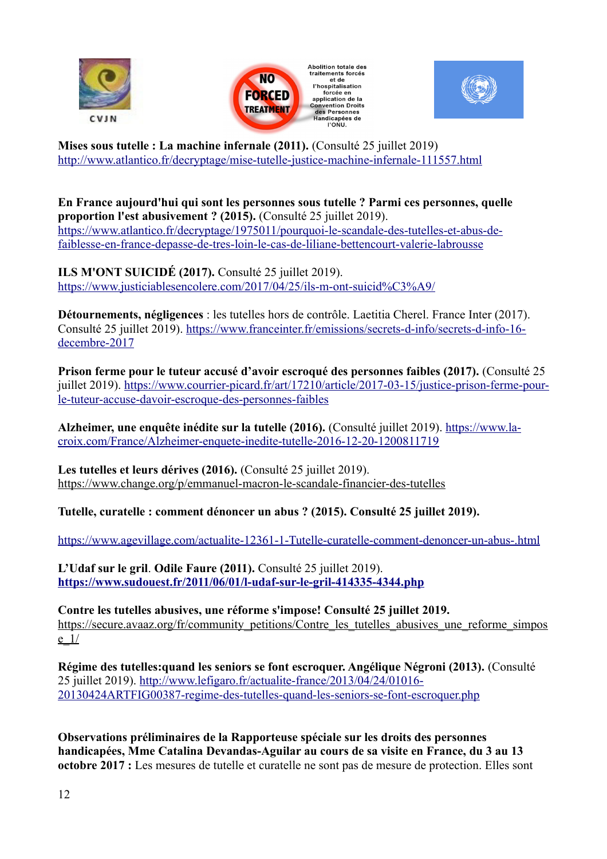





**Mises sous tutelle : La machine infernale (2011).** (Consulté 25 juillet 2019) [http://www.atlantico.fr/decryptage/mise-tutelle-justice- machine-infernale-111557.html](http://www.atlantico.fr/decryptage/mise-tutelle-justice-machine-infernale-111557.html)

**En France aujourd'hui qui sont les personnes sous tutelle ? Parmi ces personnes, quelle proportion l'est abusivement ? (2015).** (Consulté 25 juillet 2019). [https://www.atlantico.fr/decryptage/1975011/pourquoi-le- scandale-des-tutelles-et-abus-de](https://www.atlantico.fr/decryptage/1975011/pourquoi-le-scandale-des-tutelles-et-abus-de-faiblesse-en-france-depasse-de-tres-loin-le-cas-de-liliane-bettencourt-valerie-labrousse)[faiblesse-en-france-depasse-de-tres-loin-le-cas-de-liliane-bettencourt-valerie-labrousse](https://www.atlantico.fr/decryptage/1975011/pourquoi-le-scandale-des-tutelles-et-abus-de-faiblesse-en-france-depasse-de-tres-loin-le-cas-de-liliane-bettencourt-valerie-labrousse)

**ILS M'ONT SUICIDÉ (2017).** Consulté 25 juillet 2019). <https://www.justiciablesencolere.com/2017/04/25/ils-m-ont-suicid%C3%A9/>

**Détournements, négligences** : les tutelles hors de contrôle. Laetitia Cherel. France Inter (2017). Consulté 25 juillet 2019). [https://www.franceinter.fr/emissions/secrets-d-info/secrets-d-info-16](https://www.franceinter.fr/emissions/secrets-d-info/secrets-d-info-16-decembre-2017) [decembre-2017](https://www.franceinter.fr/emissions/secrets-d-info/secrets-d-info-16-decembre-2017)

**Prison ferme pour le tuteur accusé d'avoir escroqué des personnes faibles (2017).** (Consulté 25 juillet 2019). [https://www.courrier-picard.fr/art/17210/article/2017-03-15/justice-prison-ferme-pour](https://www.courrier-picard.fr/art/17210/article/2017-03-15/justice-prison-ferme-pour-le-tuteur-accuse-davoir-escroque-des-personnes-faibles)[le-tuteur-accuse-davoir-escroque-des-personnes-faibles](https://www.courrier-picard.fr/art/17210/article/2017-03-15/justice-prison-ferme-pour-le-tuteur-accuse-davoir-escroque-des-personnes-faibles)

**Alzheimer, une enquête inédite sur la tutelle (2016).** (Consulté juillet 2019). [https://www.la](https://www.la-croix.com/France/Alzheimer-enquete-inedite-tutelle-2016-12-20-1200811719)[croix.com/France/Alzheimer-enquete-inedite-tutelle-2016-12-20-1200811719](https://www.la-croix.com/France/Alzheimer-enquete-inedite-tutelle-2016-12-20-1200811719)

**Les tutelles et leurs dérives (2016).** (Consulté 25 juillet 2019). <https://www.change.org/p/emmanuel-macron-le-scandale-financier-des-tutelles>

**Tutelle, curatelle : comment dénoncer un abus ? (2015). Consulté 25 juillet 2019).** 

<https://www.agevillage.com/actualite-12361-1-Tutelle-curatelle-comment-denoncer-un-abus-.html>

**L'Udaf sur le gril**. **Odile Faure (2011).** Consulté 25 juillet 2019). **<https://www.sudouest.fr/2011/06/01/l-udaf-sur-le-gril-414335-4344.php>**

**Contre les tutelles abusives, une réforme s'impose! Consulté 25 juillet 2019.** [https://secure.avaaz.org/fr/community\\_petitions/Contre\\_les\\_tutelles\\_abusives\\_une\\_reforme\\_simpos](https://secure.avaaz.org/fr/community_petitions/Contre_les_tutelles_abusives_une_reforme_simpose_1/)  $e<sub>1/</sub>$ 

**Régime des tutelles:quand les seniors se font escroquer. Angélique Négroni (2013).** (Consulté 25 juillet 2019). [http://www.lefigaro.fr/actualite-france/2013/04/24/01016-](http://www.lefigaro.fr/actualite-france/2013/04/24/01016-20130424ARTFIG00387-regime-des-tutelles-quand-les-seniors-se-font-escroquer.php) [20130424ARTFIG00387-regime-des-tutelles-quand-les-seniors-se-font-escroquer.php](http://www.lefigaro.fr/actualite-france/2013/04/24/01016-20130424ARTFIG00387-regime-des-tutelles-quand-les-seniors-se-font-escroquer.php)

**Observations préliminaires de la Rapporteuse spéciale sur les droits des personnes handicapées, Mme Catalina Devandas-Aguilar au cours de sa visite en France, du 3 au 13 octobre 2017 :** Les mesures de tutelle et curatelle ne sont pas de mesure de protection. Elles sont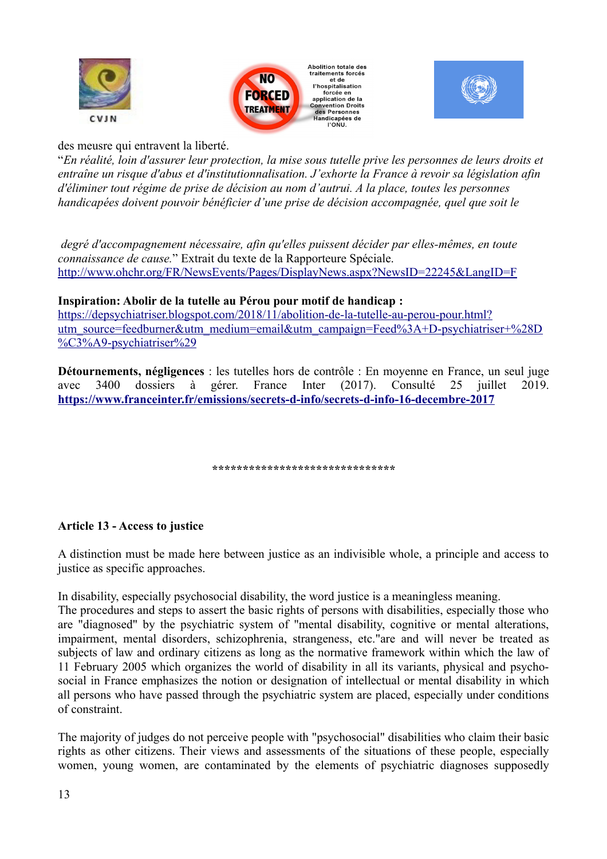





des meusre qui entravent la liberté.

"*En réalité, loin d'assurer leur protection, la mise sous tutelle prive les personnes de leurs droits et entraîne un risque d'abus et d'institutionnalisation. J'exhorte la France à revoir sa législation afin d'éliminer tout régime de prise de décision au nom d'autrui. A la place, toutes les personnes handicapées doivent pouvoir bénéficier d'une prise de décision accompagnée, quel que soit le*

 *degré d'accompagnement nécessaire, afin qu'elles puissent décider par elles-mêmes, en toute connaissance de cause.*" Extrait du texte de la Rapporteure Spéciale. <http://www.ohchr.org/FR/NewsEvents/Pages/DisplayNews.aspx?NewsID=22245&LangID=F>

## **Inspiration: Abolir de la tutelle au Pérou pour motif de handicap :**

[https://depsychiatriser.blogspot.com/2018/11/abolition-de-la-tutelle-au-perou-pour.html?](https://depsychiatriser.blogspot.com/2018/11/abolition-de-la-tutelle-au-perou-pour.html?utm_source=feedburner&utm_medium=email&utm_campaign=Feed%3A+D-psychiatriser+(D%C3%A9-psychiatriser)) [utm\\_source=feedburner&utm\\_medium=email&utm\\_campaign=Feed%3A+D-psychiatriser+%28D](https://depsychiatriser.blogspot.com/2018/11/abolition-de-la-tutelle-au-perou-pour.html?utm_source=feedburner&utm_medium=email&utm_campaign=Feed%3A+D-psychiatriser+(D%C3%A9-psychiatriser)) [%C3%A9-psychiatriser%29](https://depsychiatriser.blogspot.com/2018/11/abolition-de-la-tutelle-au-perou-pour.html?utm_source=feedburner&utm_medium=email&utm_campaign=Feed%3A+D-psychiatriser+(D%C3%A9-psychiatriser))

**Détournements, négligences** : les tutelles hors de contrôle : En moyenne en France, un seul juge avec 3400 dossiers à gérer. France Inter (2017). Consulté 25 juillet 2019. **<https://www.franceinter.fr/emissions/secrets-d-info/secrets-d-info-16-decembre-2017>**

**\*\*\*\*\*\*\*\*\*\*\*\*\*\*\*\*\*\*\*\*\*\*\*\*\*\*\*\*\*\***

## **Article 13 - Access to justice**

A distinction must be made here between justice as an indivisible whole, a principle and access to justice as specific approaches.

In disability, especially psychosocial disability, the word justice is a meaningless meaning.

The procedures and steps to assert the basic rights of persons with disabilities, especially those who are "diagnosed" by the psychiatric system of "mental disability, cognitive or mental alterations, impairment, mental disorders, schizophrenia, strangeness, etc."are and will never be treated as subjects of law and ordinary citizens as long as the normative framework within which the law of 11 February 2005 which organizes the world of disability in all its variants, physical and psychosocial in France emphasizes the notion or designation of intellectual or mental disability in which all persons who have passed through the psychiatric system are placed, especially under conditions of constraint.

The majority of judges do not perceive people with "psychosocial" disabilities who claim their basic rights as other citizens. Their views and assessments of the situations of these people, especially women, young women, are contaminated by the elements of psychiatric diagnoses supposedly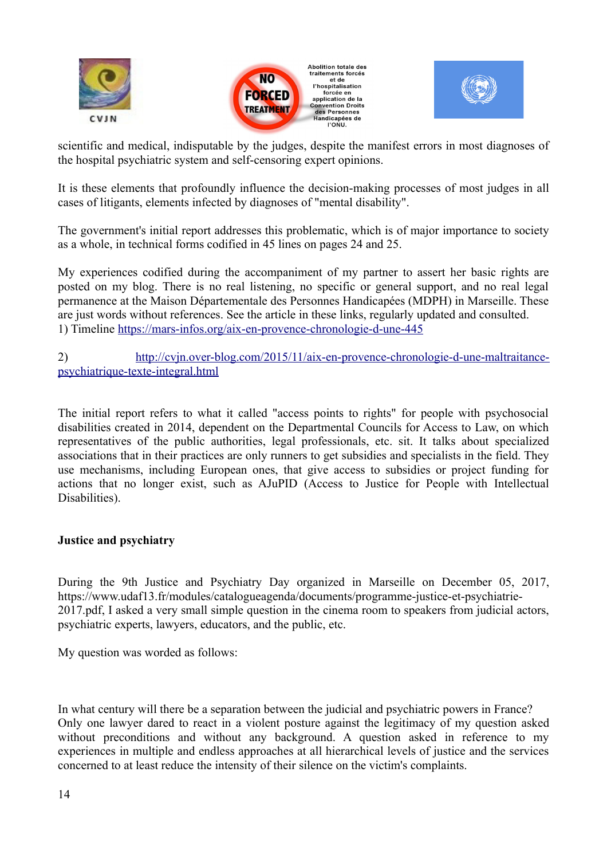





scientific and medical, indisputable by the judges, despite the manifest errors in most diagnoses of the hospital psychiatric system and self-censoring expert opinions.

It is these elements that profoundly influence the decision-making processes of most judges in all cases of litigants, elements infected by diagnoses of "mental disability".

The government's initial report addresses this problematic, which is of major importance to society as a whole, in technical forms codified in 45 lines on pages 24 and 25.

My experiences codified during the accompaniment of my partner to assert her basic rights are posted on my blog. There is no real listening, no specific or general support, and no real legal permanence at the Maison Départementale des Personnes Handicapées (MDPH) in Marseille. These are just words without references. See the article in these links, regularly updated and consulted. 1) Timeline<https://mars-infos.org/aix-en-provence-chronologie-d-une-445>

2) [http://cvjn.over-blog.com/2015/11/aix-en-provence-chronologie-d-une-maltraitance](http://cvjn.over-blog.com/2015/11/aix-en-provence-chronologie-d-une-maltraitance-psychiatrique-texte-integral.html)[psychiatrique-texte-integral.html](http://cvjn.over-blog.com/2015/11/aix-en-provence-chronologie-d-une-maltraitance-psychiatrique-texte-integral.html)

The initial report refers to what it called "access points to rights" for people with psychosocial disabilities created in 2014, dependent on the Departmental Councils for Access to Law, on which representatives of the public authorities, legal professionals, etc. sit. It talks about specialized associations that in their practices are only runners to get subsidies and specialists in the field. They use mechanisms, including European ones, that give access to subsidies or project funding for actions that no longer exist, such as AJuPID (Access to Justice for People with Intellectual Disabilities).

## **Justice and psychiatry**

During the 9th Justice and Psychiatry Day organized in Marseille on December 05, 2017, https://www.udaf13.fr/modules/catalogueagenda/documents/programme-justice-et-psychiatrie-2017.pdf, I asked a very small simple question in the cinema room to speakers from judicial actors, psychiatric experts, lawyers, educators, and the public, etc.

My question was worded as follows:

In what century will there be a separation between the judicial and psychiatric powers in France? Only one lawyer dared to react in a violent posture against the legitimacy of my question asked without preconditions and without any background. A question asked in reference to my experiences in multiple and endless approaches at all hierarchical levels of justice and the services concerned to at least reduce the intensity of their silence on the victim's complaints.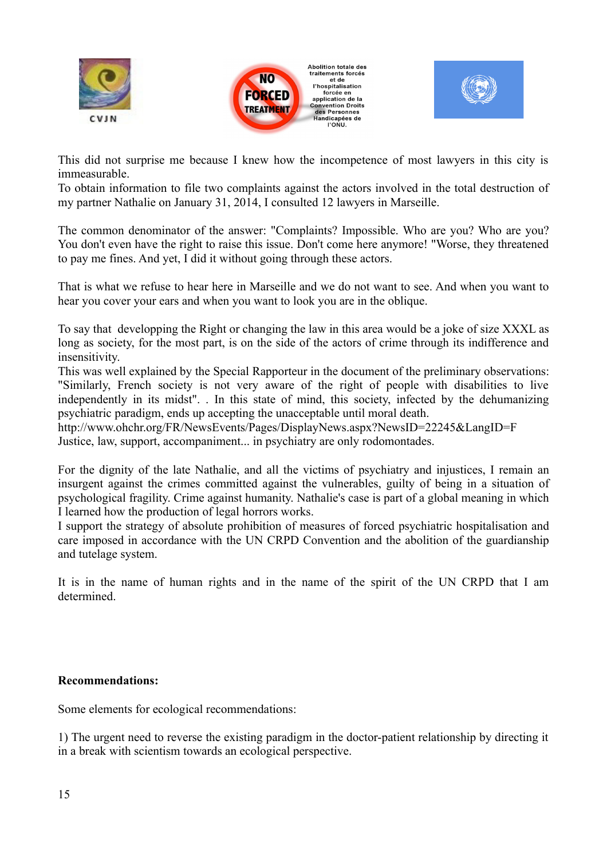





This did not surprise me because I knew how the incompetence of most lawyers in this city is immeasurable.

To obtain information to file two complaints against the actors involved in the total destruction of my partner Nathalie on January 31, 2014, I consulted 12 lawyers in Marseille.

The common denominator of the answer: "Complaints? Impossible. Who are you? Who are you? You don't even have the right to raise this issue. Don't come here anymore! "Worse, they threatened to pay me fines. And yet, I did it without going through these actors.

That is what we refuse to hear here in Marseille and we do not want to see. And when you want to hear you cover your ears and when you want to look you are in the oblique.

To say that developping the Right or changing the law in this area would be a joke of size XXXL as long as society, for the most part, is on the side of the actors of crime through its indifference and insensitivity.

This was well explained by the Special Rapporteur in the document of the preliminary observations: "Similarly, French society is not very aware of the right of people with disabilities to live independently in its midst". . In this state of mind, this society, infected by the dehumanizing psychiatric paradigm, ends up accepting the unacceptable until moral death.

http://www.ohchr.org/FR/NewsEvents/Pages/DisplayNews.aspx?NewsID=22245&LangID=F Justice, law, support, accompaniment... in psychiatry are only rodomontades.

For the dignity of the late Nathalie, and all the victims of psychiatry and injustices, I remain an insurgent against the crimes committed against the vulnerables, guilty of being in a situation of psychological fragility. Crime against humanity. Nathalie's case is part of a global meaning in which I learned how the production of legal horrors works.

I support the strategy of absolute prohibition of measures of forced psychiatric hospitalisation and care imposed in accordance with the UN CRPD Convention and the abolition of the guardianship and tutelage system.

It is in the name of human rights and in the name of the spirit of the UN CRPD that I am determined.

#### **Recommendations:**

Some elements for ecological recommendations:

1) The urgent need to reverse the existing paradigm in the doctor-patient relationship by directing it in a break with scientism towards an ecological perspective.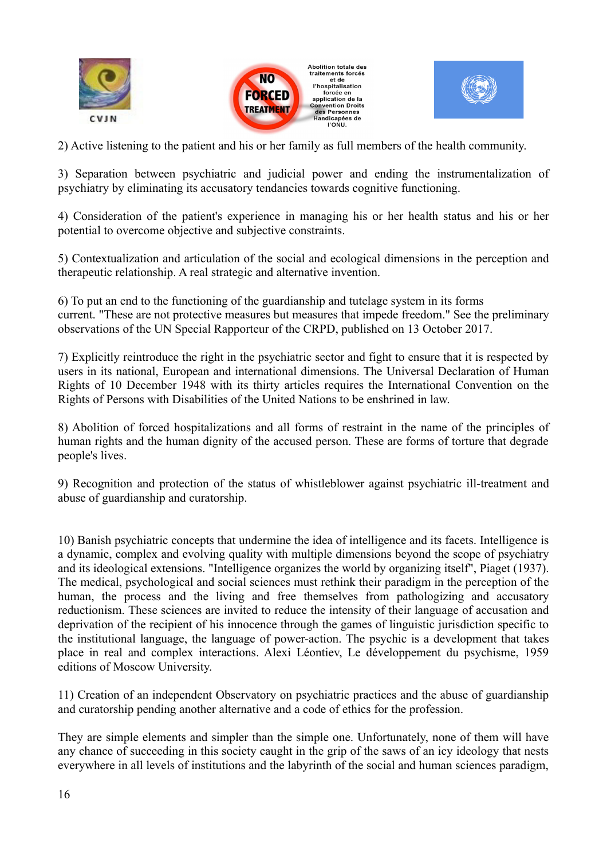





2) Active listening to the patient and his or her family as full members of the health community.

3) Separation between psychiatric and judicial power and ending the instrumentalization of psychiatry by eliminating its accusatory tendancies towards cognitive functioning.

4) Consideration of the patient's experience in managing his or her health status and his or her potential to overcome objective and subjective constraints.

5) Contextualization and articulation of the social and ecological dimensions in the perception and therapeutic relationship. A real strategic and alternative invention.

6) To put an end to the functioning of the guardianship and tutelage system in its forms current. "These are not protective measures but measures that impede freedom." See the preliminary observations of the UN Special Rapporteur of the CRPD, published on 13 October 2017.

7) Explicitly reintroduce the right in the psychiatric sector and fight to ensure that it is respected by users in its national, European and international dimensions. The Universal Declaration of Human Rights of 10 December 1948 with its thirty articles requires the International Convention on the Rights of Persons with Disabilities of the United Nations to be enshrined in law.

8) Abolition of forced hospitalizations and all forms of restraint in the name of the principles of human rights and the human dignity of the accused person. These are forms of torture that degrade people's lives.

9) Recognition and protection of the status of whistleblower against psychiatric ill-treatment and abuse of guardianship and curatorship.

10) Banish psychiatric concepts that undermine the idea of intelligence and its facets. Intelligence is a dynamic, complex and evolving quality with multiple dimensions beyond the scope of psychiatry and its ideological extensions. "Intelligence organizes the world by organizing itself", Piaget (1937). The medical, psychological and social sciences must rethink their paradigm in the perception of the human, the process and the living and free themselves from pathologizing and accusatory reductionism. These sciences are invited to reduce the intensity of their language of accusation and deprivation of the recipient of his innocence through the games of linguistic jurisdiction specific to the institutional language, the language of power-action. The psychic is a development that takes place in real and complex interactions. Alexi Léontiev, Le développement du psychisme, 1959 editions of Moscow University.

11) Creation of an independent Observatory on psychiatric practices and the abuse of guardianship and curatorship pending another alternative and a code of ethics for the profession.

They are simple elements and simpler than the simple one. Unfortunately, none of them will have any chance of succeeding in this society caught in the grip of the saws of an icy ideology that nests everywhere in all levels of institutions and the labyrinth of the social and human sciences paradigm,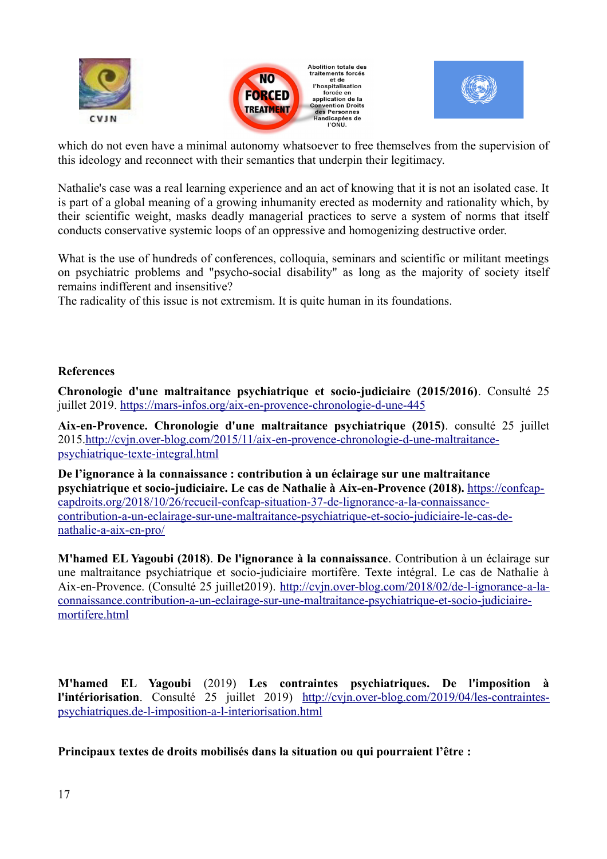





which do not even have a minimal autonomy whatsoever to free themselves from the supervision of this ideology and reconnect with their semantics that underpin their legitimacy.

Nathalie's case was a real learning experience and an act of knowing that it is not an isolated case. It is part of a global meaning of a growing inhumanity erected as modernity and rationality which, by their scientific weight, masks deadly managerial practices to serve a system of norms that itself conducts conservative systemic loops of an oppressive and homogenizing destructive order.

What is the use of hundreds of conferences, colloquia, seminars and scientific or militant meetings on psychiatric problems and "psycho-social disability" as long as the majority of society itself remains indifferent and insensitive?

The radicality of this issue is not extremism. It is quite human in its foundations.

## **References**

**Chronologie d'une maltraitance psychiatrique et socio-judiciaire (2015/2016)**. Consulté 25 juillet 2019.<https://mars-infos.org/aix-en-provence-chronologie-d-une-445>

**Aix-en-Provence. Chronologie d'une maltraitance psychiatrique (2015)**. consulté 25 juillet 2015[.http://cvjn.over-blog.com/2015/11/aix-en-provence-chronologie-d-une-maltraitance](http://cvjn.over-blog.com/2015/11/aix-en-provence-chronologie-d-une-maltraitance-psychiatrique-texte-integral.html)[psychiatrique-texte-integral.html](http://cvjn.over-blog.com/2015/11/aix-en-provence-chronologie-d-une-maltraitance-psychiatrique-texte-integral.html)

**De l'ignorance à la connaissance : contribution à un éclairage sur une maltraitance psychiatrique et socio-judiciaire. Le cas de Nathalie à Aix-en-Provence (2018).** [https://confcap](https://confcap-capdroits.org/2018/10/26/recueil-confcap-situation-37-de-lignorance-a-la-connaissance-contribution-a-un-eclairage-sur-une-maltraitance-psychiatrique-et-socio-judiciaire-le-cas-de-nathalie-a-aix-en-pro/)[capdroits.org/2018/10/26/recueil-confcap-situation-37-de-lignorance-a-la-connaissance](https://confcap-capdroits.org/2018/10/26/recueil-confcap-situation-37-de-lignorance-a-la-connaissance-contribution-a-un-eclairage-sur-une-maltraitance-psychiatrique-et-socio-judiciaire-le-cas-de-nathalie-a-aix-en-pro/)contribution-a-un-eclairage-sur-une-maltraitance-psychiatrique-et-socio-judiciaire-le-cas-de[nathalie-a-aix-en-pro/](https://confcap-capdroits.org/2018/10/26/recueil-confcap-situation-37-de-lignorance-a-la-connaissance-contribution-a-un-eclairage-sur-une-maltraitance-psychiatrique-et-socio-judiciaire-le-cas-de-nathalie-a-aix-en-pro/)

**M'hamed EL Yagoubi (2018)**. **De l'ignorance à la connaissance**. Contribution à un éclairage sur une maltraitance psychiatrique et socio-judiciaire mortifère. Texte intégral. Le cas de Nathalie à Aix-en-Provence. (Consulté 25 juillet2019). [http://cvjn.over-blog.com/2018/02/de-l-ignorance-a-la](http://cvjn.over-blog.com/2018/02/de-l-ignorance-a-la-connaissance.contribution-a-un-eclairage-sur-une-maltraitance-psychiatrique-et-socio-judiciaire-mortifere.html)[connaissance.contribution-a-un-eclairage-sur-une-maltraitance-psychiatrique-et-socio-judiciaire](http://cvjn.over-blog.com/2018/02/de-l-ignorance-a-la-connaissance.contribution-a-un-eclairage-sur-une-maltraitance-psychiatrique-et-socio-judiciaire-mortifere.html)[mortifere.html](http://cvjn.over-blog.com/2018/02/de-l-ignorance-a-la-connaissance.contribution-a-un-eclairage-sur-une-maltraitance-psychiatrique-et-socio-judiciaire-mortifere.html)

**M'hamed EL Yagoubi** (2019) **Les contraintes psychiatriques. De l'imposition à l'intériorisation**. Consulté 25 juillet 2019) [http://cvjn.over-blog.com/2019/04/les-contraintes](http://cvjn.over-blog.com/2019/04/les-contraintes-psychiatriques.de-l-imposition-a-l-interiorisation.html)[psychiatriques.de-l-imposition-a-l-interiorisation.html](http://cvjn.over-blog.com/2019/04/les-contraintes-psychiatriques.de-l-imposition-a-l-interiorisation.html)

**Principaux textes de droits mobilisés dans la situation ou qui pourraient l'être :**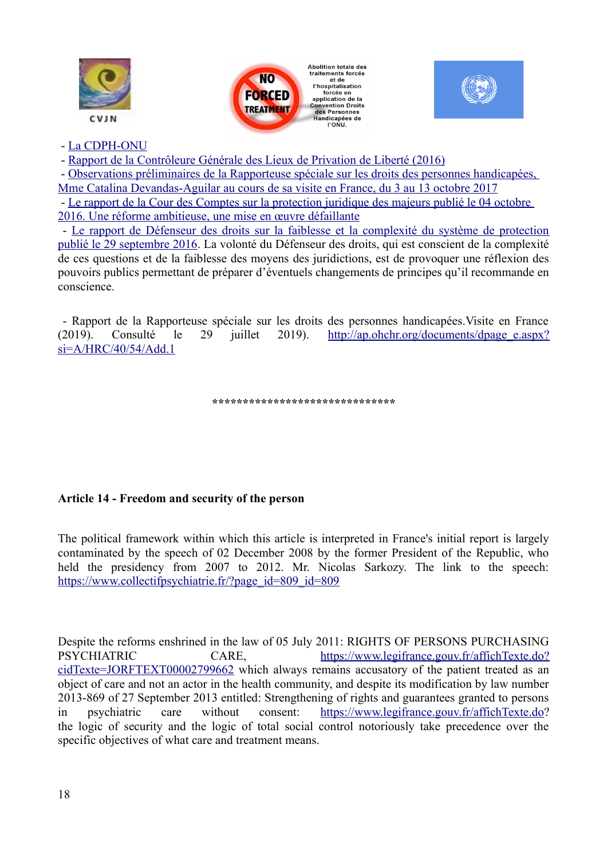





#### - [La CDPH-ONU](http://www.un.org/disabilities/documents/convention/convoptprot-f.pdf)

- [Rapport de la Contrôleure Générale des Lieux de Privation de Liberté \(2016\)](http://www.cglpl.fr/wp-content/uploads/2016/05/CGLPL_Rapport-isolement-et-contention_Dalloz.pdf)

 - [Observations préliminaires de la Rapporteuse spéciale sur les droits des personnes handicapées,](http://www.ohchr.org/FR/NewsEvents/Pages/DisplayNews.aspx?NewsID=22245&LangID=F)  [Mme Catalina Devandas-Aguilar au cours de sa visite en France, du 3 au 13 octobre 2017](http://www.ohchr.org/FR/NewsEvents/Pages/DisplayNews.aspx?NewsID=22245&LangID=F)

 - [Le rapport de la Cour des Comptes sur la protection juridique des majeurs publié le 04 octobre](http://www.ccomptes.fr/Accueil/Publications/Publications/La-protection-juridique-des-majeurs-une-reforme-ambitieuse-une-mise-en-aeuvre-defaillante)  [2016. Une réforme ambitieuse, une mise en œuvre défaillante](http://www.ccomptes.fr/Accueil/Publications/Publications/La-protection-juridique-des-majeurs-une-reforme-ambitieuse-une-mise-en-aeuvre-defaillante)

 - [Le rapport de Défenseur des droits sur la faiblesse et la complexité du système de protection](http://www.defenseurdesdroits.fr/sites/default/files/atoms/files/rapport-majeurs_vulnerables-v5-num.pdf) [publié le 29 septembre 2016.](http://www.defenseurdesdroits.fr/sites/default/files/atoms/files/rapport-majeurs_vulnerables-v5-num.pdf) La volonté du Défenseur des droits, qui est conscient de la complexité de ces questions et de la faiblesse des moyens des juridictions, est de provoquer une réflexion des pouvoirs publics permettant de préparer d'éventuels changements de principes qu'il recommande en conscience.

 - Rapport de la Rapporteuse spéciale sur les droits des personnes handicapées.Visite en France (2019). Consulté le 29 juillet 2019). [http://ap.ohchr.org/documents/dpage\\_e.aspx?](http://ap.ohchr.org/documents/dpage_e.aspx?si=A/HRC/40/54/Add.1)  $si=A/HRC/40/54/Add.1$ 

**\*\*\*\*\*\*\*\*\*\*\*\*\*\*\*\*\*\*\*\*\*\*\*\*\*\*\*\*\*\***

#### **Article 14 - Freedom and security of the person**

The political framework within which this article is interpreted in France's initial report is largely contaminated by the speech of 02 December 2008 by the former President of the Republic, who held the presidency from 2007 to 2012. Mr. Nicolas Sarkozy. The link to the speech: [https://www.collectifpsychiatrie.fr/?page\\_id=809\\_id=809](https://www.collectifpsychiatrie.fr/?page_id=809_id=809)\_

Despite the reforms enshrined in the law of 05 July 2011: RIGHTS OF PERSONS PURCHASING PSYCHIATRIC CARE, [https://www.legifrance.gouv.fr/affichTexte.do?](https://www.legifrance.gouv.fr/affichTexte.do?cidTexte=JORFTEXT00002799662) [cidTexte=JORFTEXT00002799662](https://www.legifrance.gouv.fr/affichTexte.do?cidTexte=JORFTEXT00002799662) which always remains accusatory of the patient treated as an object of care and not an actor in the health community, and despite its modification by law number 2013-869 of 27 September 2013 entitled: Strengthening of rights and guarantees granted to persons in psychiatric care without consent: [https://www.legifrance.gouv.fr/affichTexte.do?](https://www.legifrance.gouv.fr/affichTexte.do) the logic of security and the logic of total social control notoriously take precedence over the specific objectives of what care and treatment means.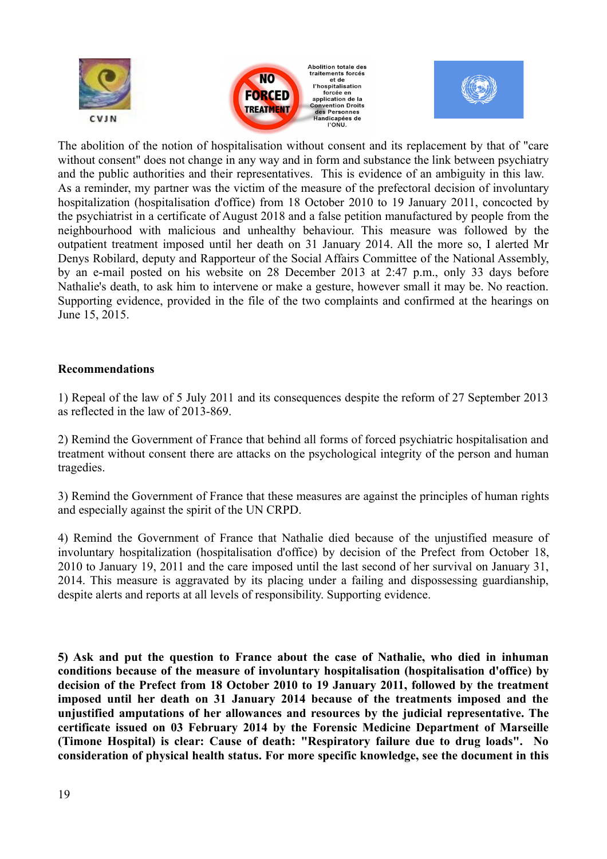





The abolition of the notion of hospitalisation without consent and its replacement by that of "care without consent" does not change in any way and in form and substance the link between psychiatry and the public authorities and their representatives. This is evidence of an ambiguity in this law. As a reminder, my partner was the victim of the measure of the prefectoral decision of involuntary hospitalization (hospitalisation d'office) from 18 October 2010 to 19 January 2011, concocted by the psychiatrist in a certificate of August 2018 and a false petition manufactured by people from the neighbourhood with malicious and unhealthy behaviour. This measure was followed by the outpatient treatment imposed until her death on 31 January 2014. All the more so, I alerted Mr Denys Robilard, deputy and Rapporteur of the Social Affairs Committee of the National Assembly, by an e-mail posted on his website on 28 December 2013 at 2:47 p.m., only 33 days before Nathalie's death, to ask him to intervene or make a gesture, however small it may be. No reaction. Supporting evidence, provided in the file of the two complaints and confirmed at the hearings on June 15, 2015.

#### **Recommendations**

1) Repeal of the law of 5 July 2011 and its consequences despite the reform of 27 September 2013 as reflected in the law of 2013-869.

2) Remind the Government of France that behind all forms of forced psychiatric hospitalisation and treatment without consent there are attacks on the psychological integrity of the person and human tragedies.

3) Remind the Government of France that these measures are against the principles of human rights and especially against the spirit of the UN CRPD.

4) Remind the Government of France that Nathalie died because of the unjustified measure of involuntary hospitalization (hospitalisation d'office) by decision of the Prefect from October 18, 2010 to January 19, 2011 and the care imposed until the last second of her survival on January 31, 2014. This measure is aggravated by its placing under a failing and dispossessing guardianship, despite alerts and reports at all levels of responsibility. Supporting evidence.

**5) Ask and put the question to France about the case of Nathalie, who died in inhuman conditions because of the measure of involuntary hospitalisation (hospitalisation d'office) by decision of the Prefect from 18 October 2010 to 19 January 2011, followed by the treatment imposed until her death on 31 January 2014 because of the treatments imposed and the unjustified amputations of her allowances and resources by the judicial representative. The certificate issued on 03 February 2014 by the Forensic Medicine Department of Marseille (Timone Hospital) is clear: Cause of death: "Respiratory failure due to drug loads". No consideration of physical health status. For more specific knowledge, see the document in this**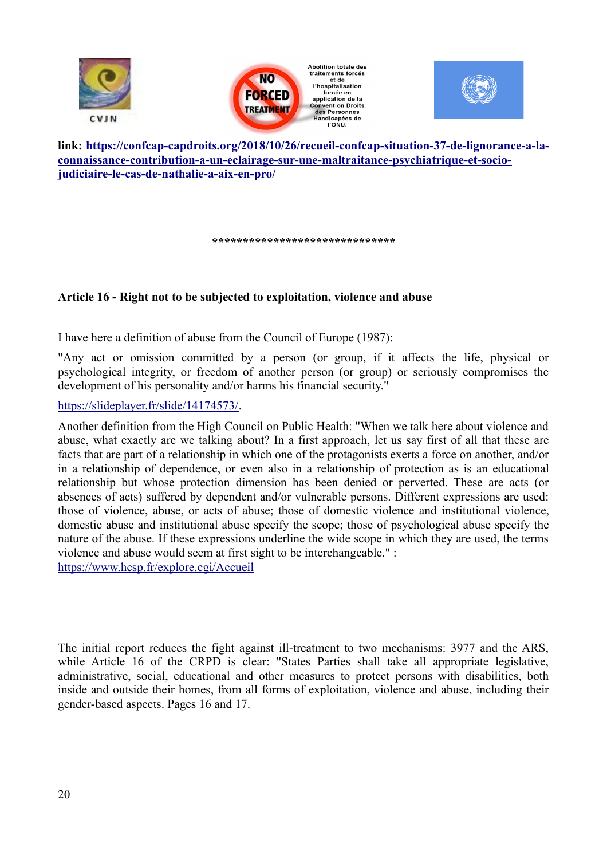





**link: [https://confcap-capdroits.org/2018/10/26/recueil-confcap-situation-37-de-lignorance-a-la](https://confcap-capdroits.org/2018/10/26/recueil-confcap-situation-37-de-lignorance-a-la-connaissance-contribution-a-un-eclairage-sur-une-maltraitance-psychiatrique-et-socio-judiciaire-le-cas-de-nathalie-a-aix-en-pro/)[connaissance-contribution-a-un-eclairage-sur-une-maltraitance-psychiatrique-et-socio](https://confcap-capdroits.org/2018/10/26/recueil-confcap-situation-37-de-lignorance-a-la-connaissance-contribution-a-un-eclairage-sur-une-maltraitance-psychiatrique-et-socio-judiciaire-le-cas-de-nathalie-a-aix-en-pro/)[judiciaire-le-cas-de-nathalie-a-aix-en-pro/](https://confcap-capdroits.org/2018/10/26/recueil-confcap-situation-37-de-lignorance-a-la-connaissance-contribution-a-un-eclairage-sur-une-maltraitance-psychiatrique-et-socio-judiciaire-le-cas-de-nathalie-a-aix-en-pro/)**

**\*\*\*\*\*\*\*\*\*\*\*\*\*\*\*\*\*\*\*\*\*\*\*\*\*\*\*\*\*\***

## **Article 16 - Right not to be subjected to exploitation, violence and abuse**

I have here a definition of abuse from the Council of Europe (1987):

"Any act or omission committed by a person (or group, if it affects the life, physical or psychological integrity, or freedom of another person (or group) or seriously compromises the development of his personality and/or harms his financial security."

#### [https://slideplayer.fr/slide/14174573/.](https://slideplayer.fr/slide/14174573/)

Another definition from the High Council on Public Health: "When we talk here about violence and abuse, what exactly are we talking about? In a first approach, let us say first of all that these are facts that are part of a relationship in which one of the protagonists exerts a force on another, and/or in a relationship of dependence, or even also in a relationship of protection as is an educational relationship but whose protection dimension has been denied or perverted. These are acts (or absences of acts) suffered by dependent and/or vulnerable persons. Different expressions are used: those of violence, abuse, or acts of abuse; those of domestic violence and institutional violence, domestic abuse and institutional abuse specify the scope; those of psychological abuse specify the nature of the abuse. If these expressions underline the wide scope in which they are used, the terms violence and abuse would seem at first sight to be interchangeable." : <https://www.hcsp.fr/explore.cgi/Accueil>

The initial report reduces the fight against ill-treatment to two mechanisms: 3977 and the ARS, while Article 16 of the CRPD is clear: "States Parties shall take all appropriate legislative, administrative, social, educational and other measures to protect persons with disabilities, both inside and outside their homes, from all forms of exploitation, violence and abuse, including their gender-based aspects. Pages 16 and 17.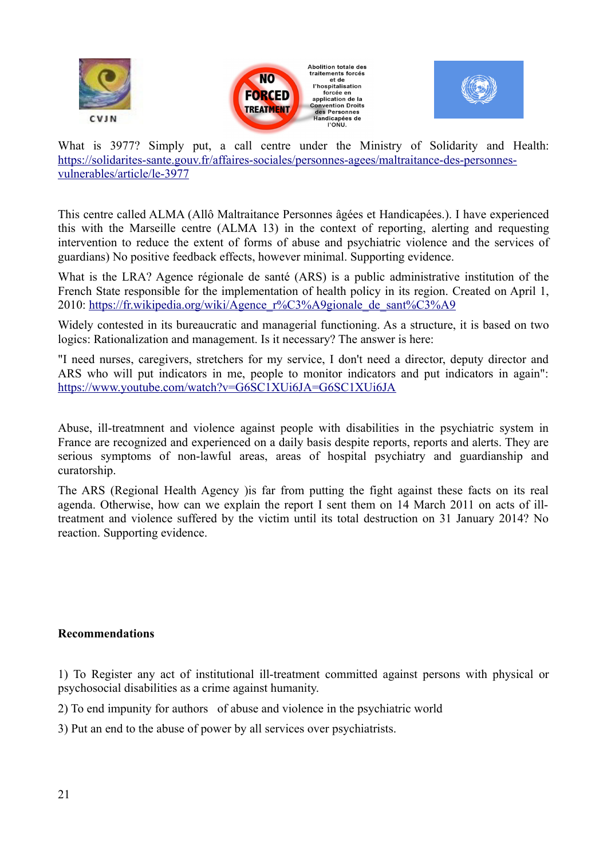





What is 3977? Simply put, a call centre under the Ministry of Solidarity and Health: [https://solidarites-sante.gouv.fr/affaires-sociales/personnes-agees/maltraitance-des-personnes](https://solidarites-sante.gouv.fr/affaires-sociales/personnes-agees/maltraitance-des-personnes-vulnerables/article/le-3977)[vulnerables/article/le-3977](https://solidarites-sante.gouv.fr/affaires-sociales/personnes-agees/maltraitance-des-personnes-vulnerables/article/le-3977)

This centre called ALMA (Allô Maltraitance Personnes âgées et Handicapées.). I have experienced this with the Marseille centre (ALMA 13) in the context of reporting, alerting and requesting intervention to reduce the extent of forms of abuse and psychiatric violence and the services of guardians) No positive feedback effects, however minimal. Supporting evidence.

What is the LRA? Agence régionale de santé (ARS) is a public administrative institution of the French State responsible for the implementation of health policy in its region. Created on April 1, 2010: [https://fr.wikipedia.org/wiki/Agence\\_r%C3%A9gionale\\_de\\_sant%C3%A9](https://fr.wikipedia.org/wiki/Agence_r%C3%A9gionale_de_sant%C3%A9)

Widely contested in its bureaucratic and managerial functioning. As a structure, it is based on two logics: Rationalization and management. Is it necessary? The answer is here:

"I need nurses, caregivers, stretchers for my service, I don't need a director, deputy director and ARS who will put indicators in me, people to monitor indicators and put indicators in again": <https://www.youtube.com/watch?v=G6SC1XUi6JA=G6SC1XUi6JA>

Abuse, ill-treatmnent and violence against people with disabilities in the psychiatric system in France are recognized and experienced on a daily basis despite reports, reports and alerts. They are serious symptoms of non-lawful areas, areas of hospital psychiatry and guardianship and curatorship.

The ARS (Regional Health Agency )is far from putting the fight against these facts on its real agenda. Otherwise, how can we explain the report I sent them on 14 March 2011 on acts of illtreatment and violence suffered by the victim until its total destruction on 31 January 2014? No reaction. Supporting evidence.

## **Recommendations**

1) To Register any act of institutional ill-treatment committed against persons with physical or psychosocial disabilities as a crime against humanity.

2) To end impunity for authors of abuse and violence in the psychiatric world

3) Put an end to the abuse of power by all services over psychiatrists.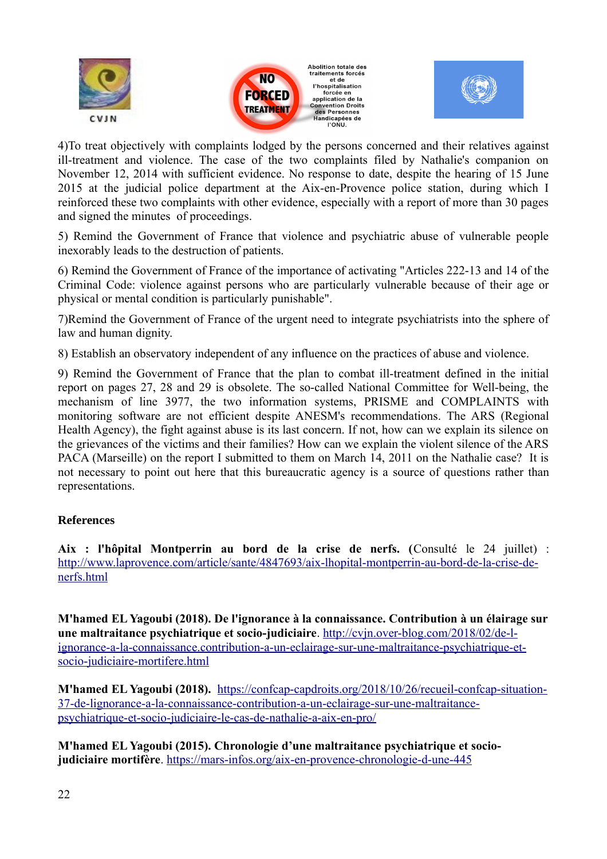





4)To treat objectively with complaints lodged by the persons concerned and their relatives against ill-treatment and violence. The case of the two complaints filed by Nathalie's companion on November 12, 2014 with sufficient evidence. No response to date, despite the hearing of 15 June 2015 at the judicial police department at the Aix-en-Provence police station, during which I reinforced these two complaints with other evidence, especially with a report of more than 30 pages and signed the minutes of proceedings.

5) Remind the Government of France that violence and psychiatric abuse of vulnerable people inexorably leads to the destruction of patients.

6) Remind the Government of France of the importance of activating "Articles 222-13 and 14 of the Criminal Code: violence against persons who are particularly vulnerable because of their age or physical or mental condition is particularly punishable".

7)Remind the Government of France of the urgent need to integrate psychiatrists into the sphere of law and human dignity.

8) Establish an observatory independent of any influence on the practices of abuse and violence.

9) Remind the Government of France that the plan to combat ill-treatment defined in the initial report on pages 27, 28 and 29 is obsolete. The so-called National Committee for Well-being, the mechanism of line 3977, the two information systems, PRISME and COMPLAINTS with monitoring software are not efficient despite ANESM's recommendations. The ARS (Regional Health Agency), the fight against abuse is its last concern. If not, how can we explain its silence on the grievances of the victims and their families? How can we explain the violent silence of the ARS PACA (Marseille) on the report I submitted to them on March 14, 2011 on the Nathalie case? It is not necessary to point out here that this bureaucratic agency is a source of questions rather than representations.

## **References**

**Aix : l'hôpital Montperrin au bord de la crise de nerfs. (**Consulté le 24 juillet) : [http://www.laprovence.com/article/sante/4847693/aix-lhopital-montperrin-au-bord-de-la-crise-de](http://www.laprovence.com/article/sante/4847693/aix-lhopital-montperrin-au-bord-de-la-crise-de-nerfs.html)[nerfs.html](http://www.laprovence.com/article/sante/4847693/aix-lhopital-montperrin-au-bord-de-la-crise-de-nerfs.html)

**M'hamed EL Yagoubi (2018). De l'ignorance à la connaissance. Contribution à un élairage sur une maltraitance psychiatrique et socio-judiciaire**. [http://cvjn.over-blog.com/2018/02/de-l](http://cvjn.over-blog.com/2018/02/de-l-ignorance-a-la-connaissance.contribution-a-un-eclairage-sur-une-maltraitance-psychiatrique-et-socio-judiciaire-mortifere.html)[ignorance-a-la-connaissance.contribution-a-un-eclairage-sur-une-maltraitance-psychiatrique-et](http://cvjn.over-blog.com/2018/02/de-l-ignorance-a-la-connaissance.contribution-a-un-eclairage-sur-une-maltraitance-psychiatrique-et-socio-judiciaire-mortifere.html)[socio-judiciaire-mortifere.html](http://cvjn.over-blog.com/2018/02/de-l-ignorance-a-la-connaissance.contribution-a-un-eclairage-sur-une-maltraitance-psychiatrique-et-socio-judiciaire-mortifere.html)

**M'hamed EL Yagoubi (2018).** [https://confcap-capdroits.org/2018/10/26/recueil-confcap-situation-](https://confcap-capdroits.org/2018/10/26/recueil-confcap-situation-37-de-lignorance-a-la-connaissance-contribution-a-un-eclairage-sur-une-maltraitance-psychiatrique-et-socio-judiciaire-le-cas-de-nathalie-a-aix-en-pro/)[37-de-lignorance-a-la-connaissance-contribution-a-un-eclairage-sur-une-maltraitance](https://confcap-capdroits.org/2018/10/26/recueil-confcap-situation-37-de-lignorance-a-la-connaissance-contribution-a-un-eclairage-sur-une-maltraitance-psychiatrique-et-socio-judiciaire-le-cas-de-nathalie-a-aix-en-pro/)[psychiatrique-et-socio-judiciaire-le-cas-de-nathalie-a-aix-en-pro/](https://confcap-capdroits.org/2018/10/26/recueil-confcap-situation-37-de-lignorance-a-la-connaissance-contribution-a-un-eclairage-sur-une-maltraitance-psychiatrique-et-socio-judiciaire-le-cas-de-nathalie-a-aix-en-pro/)

**M'hamed EL Yagoubi (2015). Chronologie d'une maltraitance psychiatrique et sociojudiciaire mortifère**.<https://mars-infos.org/aix-en-provence-chronologie-d-une-445>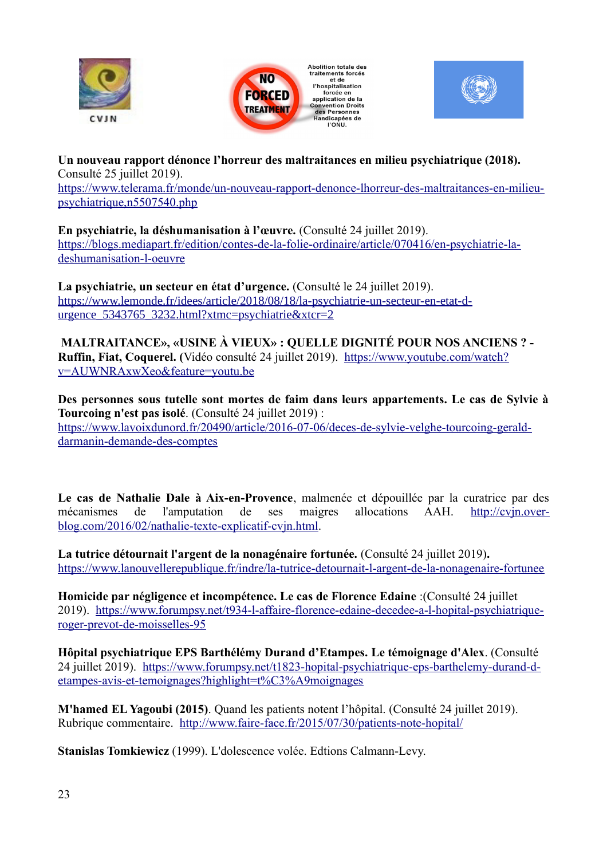





**Un nouveau rapport dénonce l'horreur des maltraitances en milieu psychiatrique (2018).**  Consulté 25 juillet 2019). [https://www.telerama.fr/monde/un-nouveau-rapport-denonce-lhorreur-des-maltraitances-en-milieu](https://www.telerama.fr/monde/un-nouveau-rapport-denonce-lhorreur-des-maltraitances-en-milieu-psychiatrique,n5507540.php)[psychiatrique,n5507540.php](https://www.telerama.fr/monde/un-nouveau-rapport-denonce-lhorreur-des-maltraitances-en-milieu-psychiatrique,n5507540.php)

**En psychiatrie, la déshumanisation à l'œuvre.** (Consulté 24 juillet 2019). [https://blogs.mediapart.fr/edition/contes-de-la-folie-ordinaire/article/070416/en-psychiatrie-la](https://blogs.mediapart.fr/edition/contes-de-la-folie-ordinaire/article/070416/en-psychiatrie-la-deshumanisation-l-oeuvre)[deshumanisation-l-oeuvre](https://blogs.mediapart.fr/edition/contes-de-la-folie-ordinaire/article/070416/en-psychiatrie-la-deshumanisation-l-oeuvre)

La psychiatrie, un secteur en état d'urgence. *(Consulté le 24 juillet 2019)*. [https://www.lemonde.fr/idees/article/2018/08/18/la-psychiatrie-un-secteur-en-etat-d](https://www.lemonde.fr/idees/article/2018/08/18/la-psychiatrie-un-secteur-en-etat-d-urgence_5343765_3232.html?xtmc=psychiatrie&xtcr=2)urgence 5343765 3232.html?xtmc=psychiatrie&xtcr=2

 **MALTRAITANCE», «USINE À VIEUX» : QUELLE DIGNITÉ POUR NOS ANCIENS ? - Ruffin, Fiat, Coquerel. (**Vidéo consulté 24 juillet 2019). [https://www.youtube.com/watch?](https://www.youtube.com/watch?v=AUWNRAxwXeo&feature=youtu.be) [v=AUWNRAxwXeo&feature=youtu.be](https://www.youtube.com/watch?v=AUWNRAxwXeo&feature=youtu.be)

**Des personnes sous tutelle sont mortes de faim dans leurs appartements. Le cas de Sylvie à Tourcoing n'est pas isolé**. (Consulté 24 juillet 2019) : [https://www.lavoixdunord.fr/20490/article/2016-07-06/deces-de-sylvie-velghe-tourcoing-gerald](https://www.lavoixdunord.fr/20490/article/2016-07-06/deces-de-sylvie-velghe-tourcoing-gerald-darmanin-demande-des-comptes)[darmanin-demande-des-comptes](https://www.lavoixdunord.fr/20490/article/2016-07-06/deces-de-sylvie-velghe-tourcoing-gerald-darmanin-demande-des-comptes)

**Le cas de Nathalie Dale à Aix-en-Provence**, malmenée et dépouillée par la curatrice par des mécanismes de l'amputation de ses maigres allocations AAH. [http://cvjn.over](http://cvjn.over-blog.com/2016/02/nathalie-texte-explicatif-cvjn.html)[blog.com/2016/02/nathalie-texte-explicatif-cvjn.html.](http://cvjn.over-blog.com/2016/02/nathalie-texte-explicatif-cvjn.html)

La tutrice détournait l'argent de la nonagénaire fortunée. (Consulté 24 juillet 2019). <https://www.lanouvellerepublique.fr/indre/la-tutrice-detournait-l-argent-de-la-nonagenaire-fortunee>

**Homicide par négligence et incompétence. Le cas de Florence Edaine** :(Consulté 24 juillet 2019). [https://www.forumpsy.net/t934-l-affaire-florence-edaine-decedee-a-l-hopital-psychiatrique](https://www.forumpsy.net/t934-l-affaire-florence-edaine-decedee-a-l-hopital-psychiatrique-roger-prevot-de-moisselles-95)[roger-prevot-de-moisselles-95](https://www.forumpsy.net/t934-l-affaire-florence-edaine-decedee-a-l-hopital-psychiatrique-roger-prevot-de-moisselles-95)

**Hôpital psychiatrique EPS Barthélémy Durand d'Etampes. Le témoignage d'Alex**. (Consulté 24 juillet 2019). [https://www.forumpsy.net/t1823-hopital-psychiatrique-eps-barthelemy-durand-d](https://www.forumpsy.net/t1823-hopital-psychiatrique-eps-barthelemy-durand-d-etampes-avis-et-temoignages?highlight=t%C3%A9moignages)[etampes-avis-et-temoignages?highlight=t%C3%A9moignages](https://www.forumpsy.net/t1823-hopital-psychiatrique-eps-barthelemy-durand-d-etampes-avis-et-temoignages?highlight=t%C3%A9moignages)

**M'hamed EL Yagoubi (2015)**. Quand les patients notent l'hôpital. (Consulté 24 juillet 2019). Rubrique commentaire. <http://www.faire-face.fr/2015/07/30/patients-note-hopital/>

**Stanislas Tomkiewicz** (1999). L'dolescence volée. Edtions Calmann-Levy.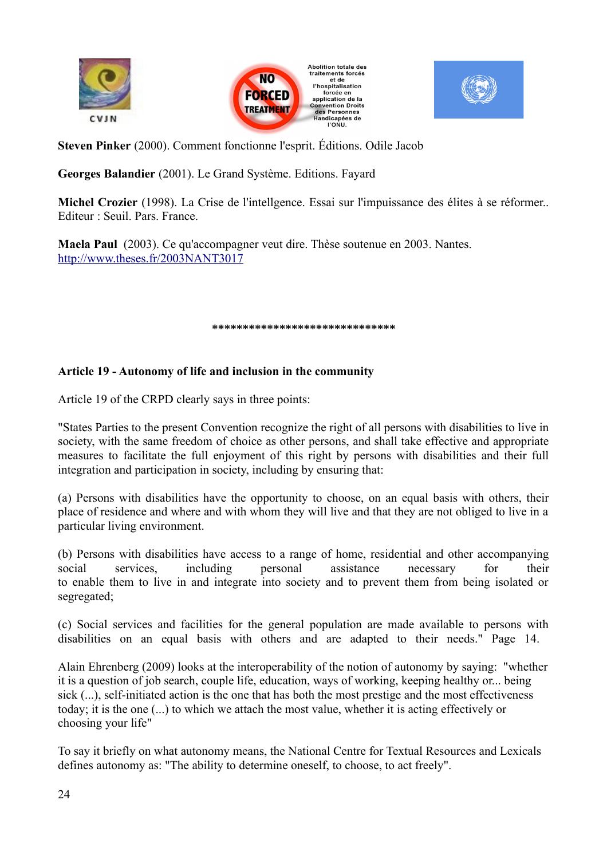





**Steven Pinker** (2000). Comment fonctionne l'esprit. Éditions. Odile Jacob

**Georges Balandier** (2001). Le Grand Système. Editions. Fayard

**Michel Crozier** (1998). La Crise de l'intellgence. Essai sur l'impuissance des élites à se réformer.. Editeur : Seuil. Pars. France.

 $at$  de

**Maela Paul** (2003). Ce qu'accompagner veut dire. Thèse soutenue en 2003. Nantes. <http://www.theses.fr/2003NANT3017>

**\*\*\*\*\*\*\*\*\*\*\*\*\*\*\*\*\*\*\*\*\*\*\*\*\*\*\*\*\*\***

## **Article 19 - Autonomy of life and inclusion in the community**

Article 19 of the CRPD clearly says in three points:

"States Parties to the present Convention recognize the right of all persons with disabilities to live in society, with the same freedom of choice as other persons, and shall take effective and appropriate measures to facilitate the full enjoyment of this right by persons with disabilities and their full integration and participation in society, including by ensuring that:

(a) Persons with disabilities have the opportunity to choose, on an equal basis with others, their place of residence and where and with whom they will live and that they are not obliged to live in a particular living environment.

(b) Persons with disabilities have access to a range of home, residential and other accompanying social services, including personal assistance necessary for their to enable them to live in and integrate into society and to prevent them from being isolated or segregated;

(c) Social services and facilities for the general population are made available to persons with disabilities on an equal basis with others and are adapted to their needs." Page 14.

Alain Ehrenberg (2009) looks at the interoperability of the notion of autonomy by saying: "whether it is a question of job search, couple life, education, ways of working, keeping healthy or... being sick (...), self-initiated action is the one that has both the most prestige and the most effectiveness today; it is the one (...) to which we attach the most value, whether it is acting effectively or choosing your life"

To say it briefly on what autonomy means, the National Centre for Textual Resources and Lexicals defines autonomy as: "The ability to determine oneself, to choose, to act freely".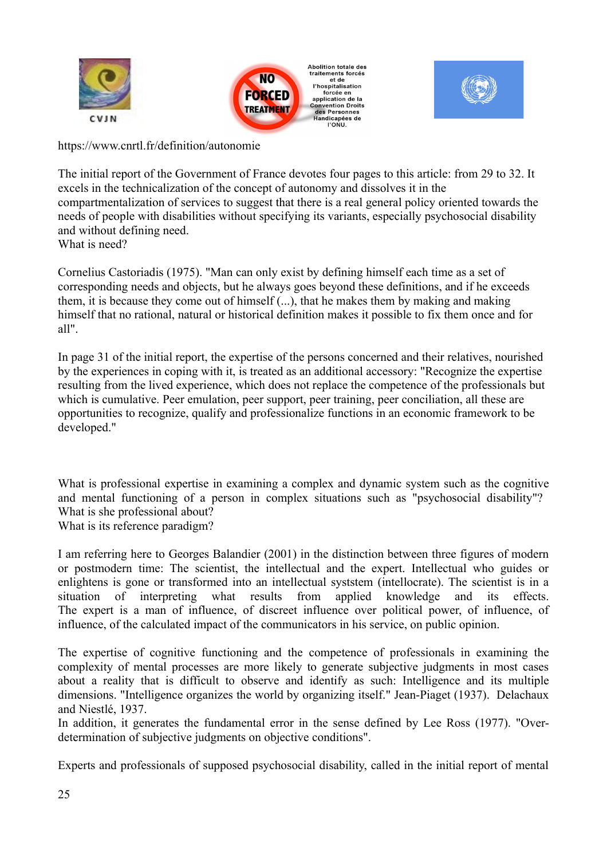





https://www.cnrtl.fr/definition/autonomie

The initial report of the Government of France devotes four pages to this article: from 29 to 32. It excels in the technicalization of the concept of autonomy and dissolves it in the compartmentalization of services to suggest that there is a real general policy oriented towards the needs of people with disabilities without specifying its variants, especially psychosocial disability and without defining need. What is need?

Cornelius Castoriadis (1975). "Man can only exist by defining himself each time as a set of corresponding needs and objects, but he always goes beyond these definitions, and if he exceeds them, it is because they come out of himself (...), that he makes them by making and making himself that no rational, natural or historical definition makes it possible to fix them once and for all".

In page 31 of the initial report, the expertise of the persons concerned and their relatives, nourished by the experiences in coping with it, is treated as an additional accessory: "Recognize the expertise resulting from the lived experience, which does not replace the competence of the professionals but which is cumulative. Peer emulation, peer support, peer training, peer conciliation, all these are opportunities to recognize, qualify and professionalize functions in an economic framework to be developed."

What is professional expertise in examining a complex and dynamic system such as the cognitive and mental functioning of a person in complex situations such as "psychosocial disability"? What is she professional about?

What is its reference paradigm?

I am referring here to Georges Balandier (2001) in the distinction between three figures of modern or postmodern time: The scientist, the intellectual and the expert. Intellectual who guides or enlightens is gone or transformed into an intellectual syststem (intellocrate). The scientist is in a situation of interpreting what results from applied knowledge and its effects. The expert is a man of influence, of discreet influence over political power, of influence, of influence, of the calculated impact of the communicators in his service, on public opinion.

The expertise of cognitive functioning and the competence of professionals in examining the complexity of mental processes are more likely to generate subjective judgments in most cases about a reality that is difficult to observe and identify as such: Intelligence and its multiple dimensions. "Intelligence organizes the world by organizing itself." Jean-Piaget (1937). Delachaux and Niestlé, 1937.

In addition, it generates the fundamental error in the sense defined by Lee Ross (1977). "Overdetermination of subjective judgments on objective conditions".

Experts and professionals of supposed psychosocial disability, called in the initial report of mental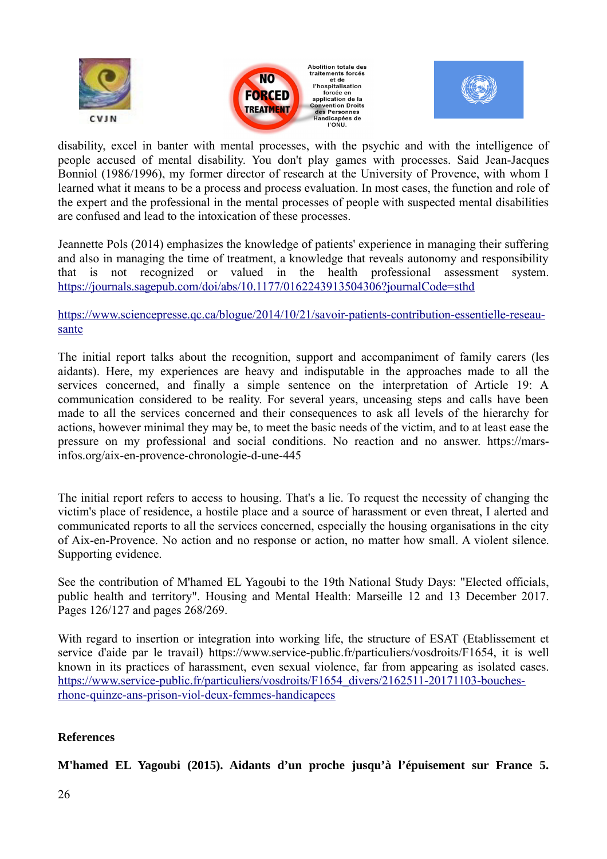





disability, excel in banter with mental processes, with the psychic and with the intelligence of people accused of mental disability. You don't play games with processes. Said Jean-Jacques Bonniol (1986/1996), my former director of research at the University of Provence, with whom I learned what it means to be a process and process evaluation. In most cases, the function and role of the expert and the professional in the mental processes of people with suspected mental disabilities are confused and lead to the intoxication of these processes.

Jeannette Pols (2014) emphasizes the knowledge of patients' experience in managing their suffering and also in managing the time of treatment, a knowledge that reveals autonomy and responsibility that is not recognized or valued in the health professional assessment system. <https://journals.sagepub.com/doi/abs/10.1177/0162243913504306?journalCode=sthd>

[https://www.sciencepresse.qc.ca/blogue/2014/10/21/savoir-patients-contribution-essentielle-reseau](https://www.sciencepresse.qc.ca/blogue/2014/10/21/savoir-patients-contribution-essentielle-reseau-sante)[sante](https://www.sciencepresse.qc.ca/blogue/2014/10/21/savoir-patients-contribution-essentielle-reseau-sante)

The initial report talks about the recognition, support and accompaniment of family carers (les aidants). Here, my experiences are heavy and indisputable in the approaches made to all the services concerned, and finally a simple sentence on the interpretation of Article 19: A communication considered to be reality. For several years, unceasing steps and calls have been made to all the services concerned and their consequences to ask all levels of the hierarchy for actions, however minimal they may be, to meet the basic needs of the victim, and to at least ease the pressure on my professional and social conditions. No reaction and no answer. https://marsinfos.org/aix-en-provence-chronologie-d-une-445

The initial report refers to access to housing. That's a lie. To request the necessity of changing the victim's place of residence, a hostile place and a source of harassment or even threat, I alerted and communicated reports to all the services concerned, especially the housing organisations in the city of Aix-en-Provence. No action and no response or action, no matter how small. A violent silence. Supporting evidence.

See the contribution of M'hamed EL Yagoubi to the 19th National Study Days: "Elected officials, public health and territory". Housing and Mental Health: Marseille 12 and 13 December 2017. Pages 126/127 and pages 268/269.

With regard to insertion or integration into working life, the structure of ESAT (Etablissement et service d'aide par le travail) https://www.service-public.fr/particuliers/vosdroits/F1654, it is well known in its practices of harassment, even sexual violence, far from appearing as isolated cases. [https://www.service-public.fr/particuliers/vosdroits/F1654\\_divers/2162511-20171103-bouches](https://www.service-public.fr/particuliers/vosdroits/F1654_divers/2162511-20171103-bouches-rhone-quinze-ans-prison-viol-deux-femmes-handicapees)[rhone-quinze-ans-prison-viol-deux-femmes-handicapees](https://www.service-public.fr/particuliers/vosdroits/F1654_divers/2162511-20171103-bouches-rhone-quinze-ans-prison-viol-deux-femmes-handicapees)

## **References**

**M'hamed EL Yagoubi (2015). Aidants d'un proche jusqu'à l'épuisement sur France 5.**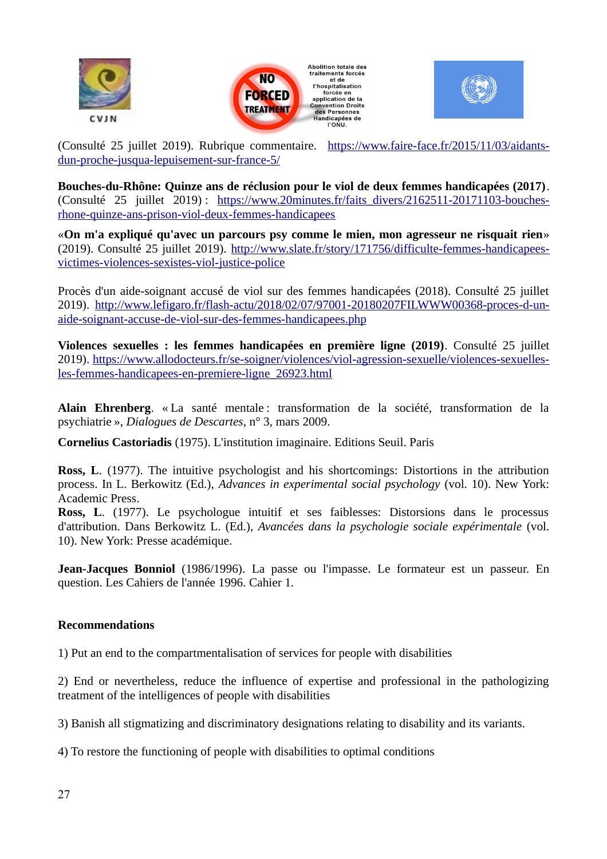





(Consulté 25 juillet 2019). Rubrique commentaire. [https://www.faire-face.fr/2015/11/03/aidants](https://www.faire-face.fr/2015/11/03/aidants-dun-proche-jusqua-lepuisement-sur-france-5/)[dun-proche-jusqua-lepuisement-sur-france-5/](https://www.faire-face.fr/2015/11/03/aidants-dun-proche-jusqua-lepuisement-sur-france-5/)

**Bouches-du-Rhône: Quinze ans de réclusion pour le viol de deux femmes handicapées (2017)**. (Consulté 25 juillet 2019) : [https://www.20minutes.fr/faits\\_divers/2162511-20171103-bouches](https://www.20minutes.fr/faits_divers/2162511-20171103-bouches-rhone-quinze-ans-prison-viol-deux-femmes-handicapees)[rhone-quinze-ans-prison-viol-deux-femmes-handicapees](https://www.20minutes.fr/faits_divers/2162511-20171103-bouches-rhone-quinze-ans-prison-viol-deux-femmes-handicapees)

«**On m'a expliqué qu'avec un parcours psy comme le mien, mon agresseur ne risquait rien**» (2019). Consulté 25 juillet 2019). [http://www.slate.fr/story/171756/difficulte-femmes-handicapees](http://www.slate.fr/story/171756/difficulte-femmes-handicapees-victimes-violences-sexistes-viol-justice-police)[victimes-violences-sexistes-viol-justice-police](http://www.slate.fr/story/171756/difficulte-femmes-handicapees-victimes-violences-sexistes-viol-justice-police)

Procès d'un aide-soignant accusé de viol sur des femmes handicapées (2018). Consulté 25 juillet 2019). [http://www.lefigaro.fr/flash-actu/2018/02/07/97001-20180207FILWWW00368-proces-d-un](http://www.lefigaro.fr/flash-actu/2018/02/07/97001-20180207FILWWW00368-proces-d-un-aide-soignant-accuse-de-viol-sur-des-femmes-handicapees.php)[aide-soignant-accuse-de-viol-sur-des-femmes-handicapees.php](http://www.lefigaro.fr/flash-actu/2018/02/07/97001-20180207FILWWW00368-proces-d-un-aide-soignant-accuse-de-viol-sur-des-femmes-handicapees.php)

**Violences sexuelles : les femmes handicapées en première ligne (2019)**. Consulté 25 juillet 2019). [https://www.allodocteurs.fr/se-soigner/violences/viol-agression-sexuelle/violences-sexuelles](https://www.allodocteurs.fr/se-soigner/violences/viol-agression-sexuelle/violences-sexuelles-les-femmes-handicapees-en-premiere-ligne_26923.html)[les-femmes-handicapees-en-premiere-ligne\\_26923.html](https://www.allodocteurs.fr/se-soigner/violences/viol-agression-sexuelle/violences-sexuelles-les-femmes-handicapees-en-premiere-ligne_26923.html)

**Alain Ehrenberg**. « La santé mentale : transformation de la société, transformation de la psychiatrie », *Dialogues de Descartes*, n° 3, mars 2009.

**Cornelius Castoriadis** (1975). L'institution imaginaire. Editions Seuil. Paris

**Ross, L**. (1977). The intuitive psychologist and his shortcomings: Distortions in the attribution process. In L. Berkowitz (Ed.), *Advances in experimental social psychology* (vol. 10). New York: Academic Press.

**Ross, L**. (1977). Le psychologue intuitif et ses faiblesses: Distorsions dans le processus d'attribution. Dans Berkowitz L. (Ed.), *Avancées dans la psychologie sociale expérimentale* (vol. 10). New York: Presse académique.

**Jean-Jacques Bonniol** (1986/1996). La passe ou l'impasse. Le formateur est un passeur. En question. Les Cahiers de l'année 1996. Cahier 1.

## **Recommendations**

1) Put an end to the compartmentalisation of services for people with disabilities

2) End or nevertheless, reduce the influence of expertise and professional in the pathologizing treatment of the intelligences of people with disabilities

3) Banish all stigmatizing and discriminatory designations relating to disability and its variants.

4) To restore the functioning of people with disabilities to optimal conditions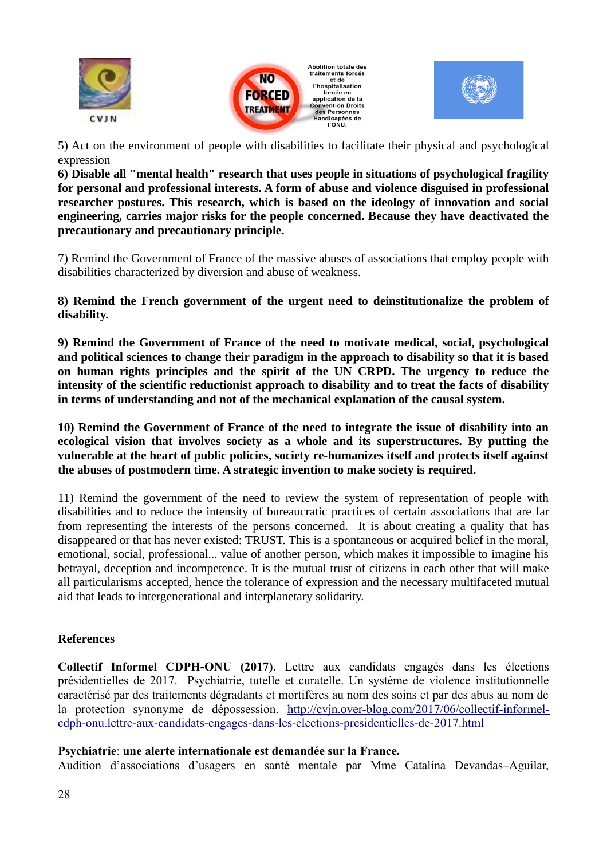





5) Act on the environment of people with disabilities to facilitate their physical and psychological expression

**6) Disable all "mental health" research that uses people in situations of psychological fragility for personal and professional interests. A form of abuse and violence disguised in professional researcher postures. This research, which is based on the ideology of innovation and social engineering, carries major risks for the people concerned. Because they have deactivated the precautionary and precautionary principle.**

7) Remind the Government of France of the massive abuses of associations that employ people with disabilities characterized by diversion and abuse of weakness.

**8) Remind the French government of the urgent need to deinstitutionalize the problem of disability.**

**9) Remind the Government of France of the need to motivate medical, social, psychological and political sciences to change their paradigm in the approach to disability so that it is based on human rights principles and the spirit of the UN CRPD. The urgency to reduce the intensity of the scientific reductionist approach to disability and to treat the facts of disability in terms of understanding and not of the mechanical explanation of the causal system.**

**10) Remind the Government of France of the need to integrate the issue of disability into an ecological vision that involves society as a whole and its superstructures. By putting the vulnerable at the heart of public policies, society re-humanizes itself and protects itself against the abuses of postmodern time. A strategic invention to make society is required.**

11) Remind the government of the need to review the system of representation of people with disabilities and to reduce the intensity of bureaucratic practices of certain associations that are far from representing the interests of the persons concerned. It is about creating a quality that has disappeared or that has never existed: TRUST. This is a spontaneous or acquired belief in the moral, emotional, social, professional... value of another person, which makes it impossible to imagine his betrayal, deception and incompetence. It is the mutual trust of citizens in each other that will make all particularisms accepted, hence the tolerance of expression and the necessary multifaceted mutual aid that leads to intergenerational and interplanetary solidarity.

## **References**

**Collectif Informel CDPH-ONU (2017)**. Lettre aux candidats engagés dans les élections présidentielles de 2017. Psychiatrie, tutelle et curatelle. Un système de violence institutionnelle caractérisé par des traitements dégradants et mortifères au nom des soins et par des abus au nom de la protection synonyme de dépossession. [http://cvjn.over-blog.com/2017/06/collectif-informel](http://cvjn.over-blog.com/2017/06/collectif-informel-cdph-onu.lettre-aux-candidats-engages-dans-les-elections-presidentielles-de-2017.html)[cdph-onu.lettre-aux-candidats-engages-dans-les-elections-presidentielles-de-2017.html](http://cvjn.over-blog.com/2017/06/collectif-informel-cdph-onu.lettre-aux-candidats-engages-dans-les-elections-presidentielles-de-2017.html)

#### **Psychiatrie**: **une alerte internationale est demandée sur la France.**

Audition d'associations d'usagers en santé mentale par Mme Catalina Devandas–Aguilar,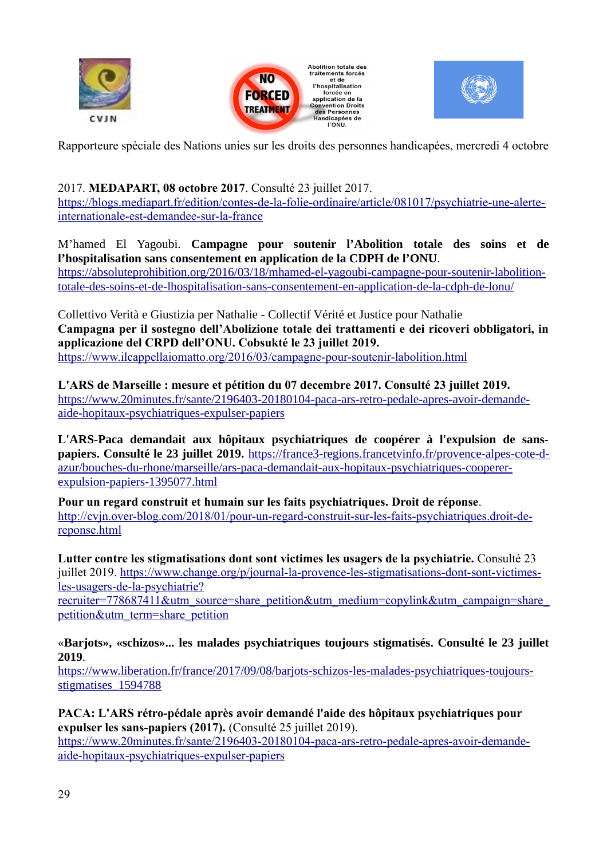





Rapporteure spéciale des Nations unies sur les droits des personnes handicapées, mercredi 4 octobre

# 2017. **MEDAPART, 08 octobre 2017**. Consulté 23 juillet 2017.

[https://blogs.mediapart.fr/edition/contes-de-la-folie-ordinaire/article/081017/psychiatrie-une-alerte](https://blogs.mediapart.fr/edition/contes-de-la-folie-ordinaire/article/081017/psychiatrie-une-alerte-internationale-est-demandee-sur-la-france)[internationale-est-demandee-sur-la-france](https://blogs.mediapart.fr/edition/contes-de-la-folie-ordinaire/article/081017/psychiatrie-une-alerte-internationale-est-demandee-sur-la-france)

M'hamed El Yagoubi. **Campagne pour soutenir l'Abolition totale des soins et de l'hospitalisation sans consentement en application de la CDPH de l'ONU**.

[https://absoluteprohibition.org/2016/03/18/mhamed-el-yagoubi-campagne-pour-soutenir-labolition](https://absoluteprohibition.org/2016/03/18/mhamed-el-yagoubi-campagne-pour-soutenir-labolition-totale-des-soins-et-de-lhospitalisation-sans-consentement-en-application-de-la-cdph-de-lonu/)[totale-des-soins-et-de-lhospitalisation-sans-consentement-en-application-de-la-cdph-de-lonu/](https://absoluteprohibition.org/2016/03/18/mhamed-el-yagoubi-campagne-pour-soutenir-labolition-totale-des-soins-et-de-lhospitalisation-sans-consentement-en-application-de-la-cdph-de-lonu/)

Collettivo Verità e Giustizia per Nathalie - Collectif Vérité et Justice pour Nathalie **Campagna per il sostegno dell'Abolizione totale dei trattamenti e dei ricoveri obbligatori, in applicazione del CRPD dell'ONU. Cobsukté le 23 juillet 2019.** <https://www.ilcappellaiomatto.org/2016/03/campagne-pour-soutenir-labolition.html>

**L'ARS de Marseille : mesure et pétition du 07 decembre 2017. Consulté 23 juillet 2019.** [https://www.20minutes.fr/sante/2196403-20180104-paca-ars-retro-pedale-apres-avoir-demande](https://www.20minutes.fr/sante/2196403-20180104-paca-ars-retro-pedale-apres-avoir-demande-aide-hopitaux-psychiatriques-expulser-papiers)[aide-hopitaux-psychiatriques-expulser-papiers](https://www.20minutes.fr/sante/2196403-20180104-paca-ars-retro-pedale-apres-avoir-demande-aide-hopitaux-psychiatriques-expulser-papiers)

**L'ARS-Paca demandait aux hôpitaux psychiatriques de coopérer à l'expulsion de sanspapiers. Consulté le 23 juillet 2019.** [https://france3-regions.francetvinfo.fr/provence-alpes-cote-d](https://france3-regions.francetvinfo.fr/provence-alpes-cote-d-azur/bouches-du-rhone/marseille/ars-paca-demandait-aux-hopitaux-psychiatriques-cooperer-expulsion-papiers-1395077.html)[azur/bouches-du-rhone/marseille/ars-paca-demandait-aux-hopitaux-psychiatriques-cooperer](https://france3-regions.francetvinfo.fr/provence-alpes-cote-d-azur/bouches-du-rhone/marseille/ars-paca-demandait-aux-hopitaux-psychiatriques-cooperer-expulsion-papiers-1395077.html)[expulsion-papiers-1395077.html](https://france3-regions.francetvinfo.fr/provence-alpes-cote-d-azur/bouches-du-rhone/marseille/ars-paca-demandait-aux-hopitaux-psychiatriques-cooperer-expulsion-papiers-1395077.html)

**Pour un regard construit et humain sur les faits psychiatriques. Droit de réponse**. [http://cvjn.over-blog.com/2018/01/pour-un-regard-construit-sur-les-faits-psychiatriques.droit-de](http://cvjn.over-blog.com/2018/01/pour-un-regard-construit-sur-les-faits-psychiatriques.droit-de-reponse.html)[reponse.html](http://cvjn.over-blog.com/2018/01/pour-un-regard-construit-sur-les-faits-psychiatriques.droit-de-reponse.html)

**Lutter contre les stigmatisations dont sont victimes les usagers de la psychiatrie.** Consulté 23 juillet 2019. [https://www.change.org/p/journal-la-provence-les-stigmatisations-dont-sont-victimes](https://www.change.org/p/journal-la-provence-les-stigmatisations-dont-sont-victimes-les-usagers-de-la-psychiatrie?recruiter=778687411&utm_source=share_petition&utm_medium=copylink&utm_campaign=share_petition&utm_term=share_petition)[les-usagers-de-la-psychiatrie?](https://www.change.org/p/journal-la-provence-les-stigmatisations-dont-sont-victimes-les-usagers-de-la-psychiatrie?recruiter=778687411&utm_source=share_petition&utm_medium=copylink&utm_campaign=share_petition&utm_term=share_petition)

recruiter=778687411&utm\_source=share\_petition&utm\_medium=copylink&utm\_campaign=share [petition&utm\\_term=share\\_petition](https://www.change.org/p/journal-la-provence-les-stigmatisations-dont-sont-victimes-les-usagers-de-la-psychiatrie?recruiter=778687411&utm_source=share_petition&utm_medium=copylink&utm_campaign=share_petition&utm_term=share_petition)

«**Barjots», «schizos»... les malades psychiatriques toujours stigmatisés. Consulté le 23 juillet 2019**.

[https://www.liberation.fr/france/2017/09/08/barjots-schizos-les-malades-psychiatriques-toujours](https://www.liberation.fr/france/2017/09/08/barjots-schizos-les-malades-psychiatriques-toujours-stigmatises_1594788)stigmatises 1594788

**PACA: L'ARS rétro-pédale après avoir demandé l'aide des hôpitaux psychiatriques pour expulser les sans-papiers (2017).** (Consulté 25 juillet 2019).

[https://www.20minutes.fr/sante/2196403-20180104-paca-ars-retro-pedale-apres-avoir-demande](https://www.20minutes.fr/sante/2196403-20180104-paca-ars-retro-pedale-apres-avoir-demande-aide-hopitaux-psychiatriques-expulser-papiers)[aide-hopitaux-psychiatriques-expulser-papiers](https://www.20minutes.fr/sante/2196403-20180104-paca-ars-retro-pedale-apres-avoir-demande-aide-hopitaux-psychiatriques-expulser-papiers)